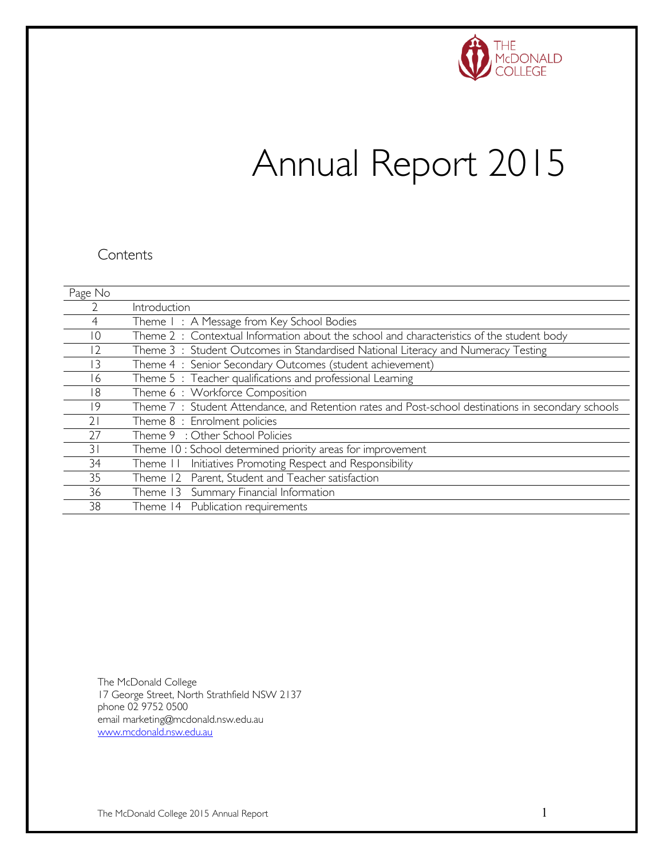

# Annual Report 2015

#### **Contents**

| Page No         |                                                                                                    |
|-----------------|----------------------------------------------------------------------------------------------------|
|                 | Introduction                                                                                       |
|                 | Theme I: A Message from Key School Bodies                                                          |
| $\overline{10}$ | Theme $2:$ Contextual Information about the school and characteristics of the student body         |
| 12              | Theme 3: Student Outcomes in Standardised National Literacy and Numeracy Testing                   |
| 3               | Theme 4: Senior Secondary Outcomes (student achievement)                                           |
| 6               | Theme 5: Teacher qualifications and professional Learning                                          |
| 18              | Theme 6: Workforce Composition                                                                     |
| 19              | Theme 7: Student Attendance, and Retention rates and Post-school destinations in secondary schools |
| 21              | Theme 8 : Enrolment policies                                                                       |
| 27              | Theme 9 : Other School Policies                                                                    |
| 31              | Theme 10: School determined priority areas for improvement                                         |
| 34              | Initiatives Promoting Respect and Responsibility<br>Theme II                                       |
| 35              | Theme 12 Parent, Student and Teacher satisfaction                                                  |
| 36              | Theme 13 Summary Financial Information                                                             |
| 38              | Theme 14 Publication requirements                                                                  |

The McDonald College 17 George Street, North Strathfield NSW 2137 phone 02 9752 0500 email marketing@mcdonald.nsw.edu.au [www.mcdonald.nsw.edu.au](http://www.mcdonald.nsw.edu.au/)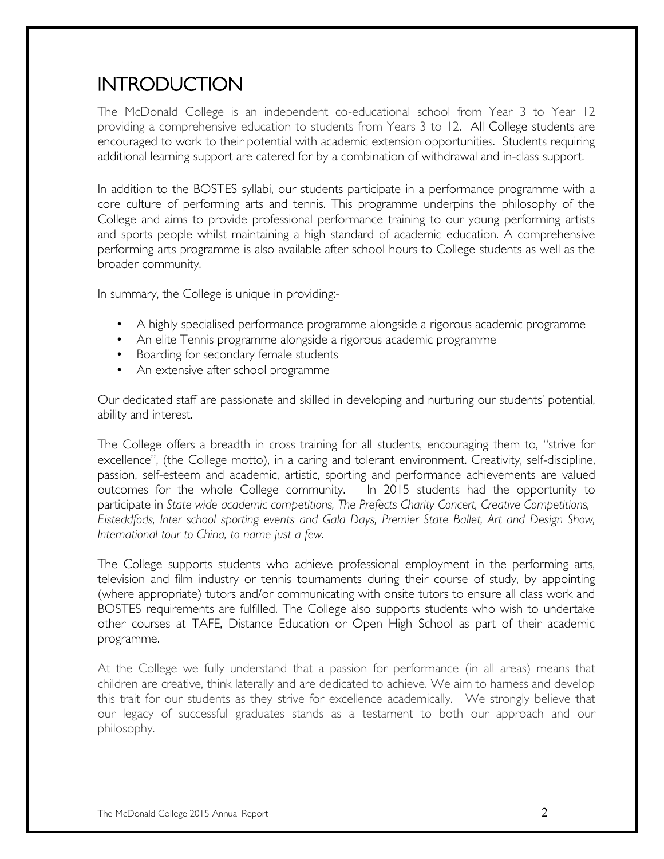## INTRODUCTION

The McDonald College is an independent co-educational school from Year 3 to Year 12 providing a comprehensive education to students from Years 3 to 12. All College students are encouraged to work to their potential with academic extension opportunities. Students requiring additional learning support are catered for by a combination of withdrawal and in-class support.

In addition to the BOSTES syllabi, our students participate in a performance programme with a core culture of performing arts and tennis. This programme underpins the philosophy of the College and aims to provide professional performance training to our young performing artists and sports people whilst maintaining a high standard of academic education. A comprehensive performing arts programme is also available after school hours to College students as well as the broader community.

In summary, the College is unique in providing:-

- A highly specialised performance programme alongside a rigorous academic programme
- An elite Tennis programme alongside a rigorous academic programme
- Boarding for secondary female students
- An extensive after school programme

Our dedicated staff are passionate and skilled in developing and nurturing our students' potential, ability and interest.

The College offers a breadth in cross training for all students, encouraging them to, "strive for excellence", (the College motto), in a caring and tolerant environment. Creativity, self-discipline, passion, self-esteem and academic, artistic, sporting and performance achievements are valued outcomes for the whole College community. In 2015 students had the opportunity to participate in *State wide academic competitions, The Prefects Charity Concert, Creative Competitions, Eisteddfods, Inter school sporting events and Gala Days, Premier State Ballet, Art and Design Show, International tour to China, to name just a few.*

The College supports students who achieve professional employment in the performing arts, television and film industry or tennis tournaments during their course of study, by appointing (where appropriate) tutors and/or communicating with onsite tutors to ensure all class work and BOSTES requirements are fulfilled. The College also supports students who wish to undertake other courses at TAFE, Distance Education or Open High School as part of their academic programme.

At the College we fully understand that a passion for performance (in all areas) means that children are creative, think laterally and are dedicated to achieve. We aim to harness and develop this trait for our students as they strive for excellence academically. We strongly believe that our legacy of successful graduates stands as a testament to both our approach and our philosophy.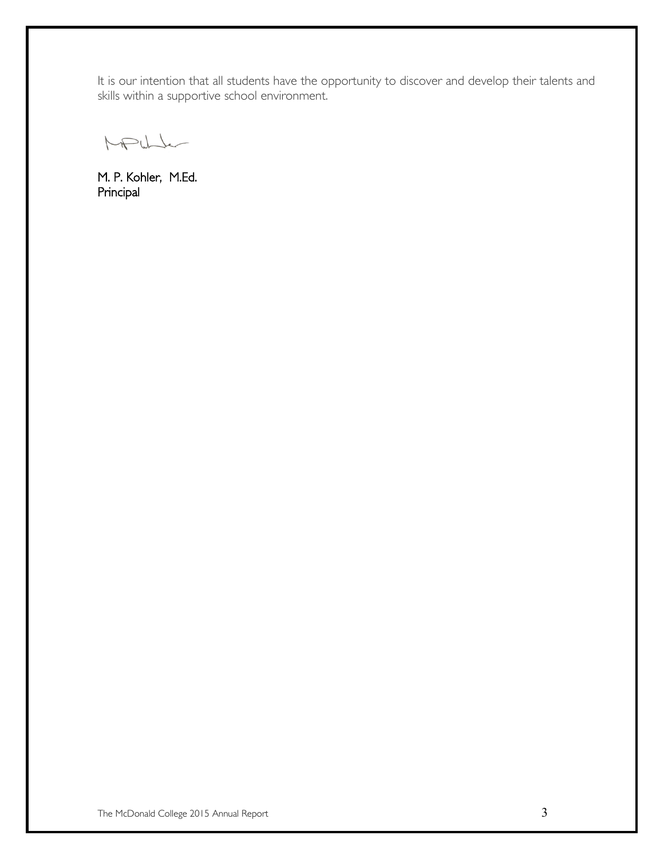It is our intention that all students have the opportunity to discover and develop their talents and skills within a supportive school environment.

MPULL

M. P. Kohler, M.Ed. Principal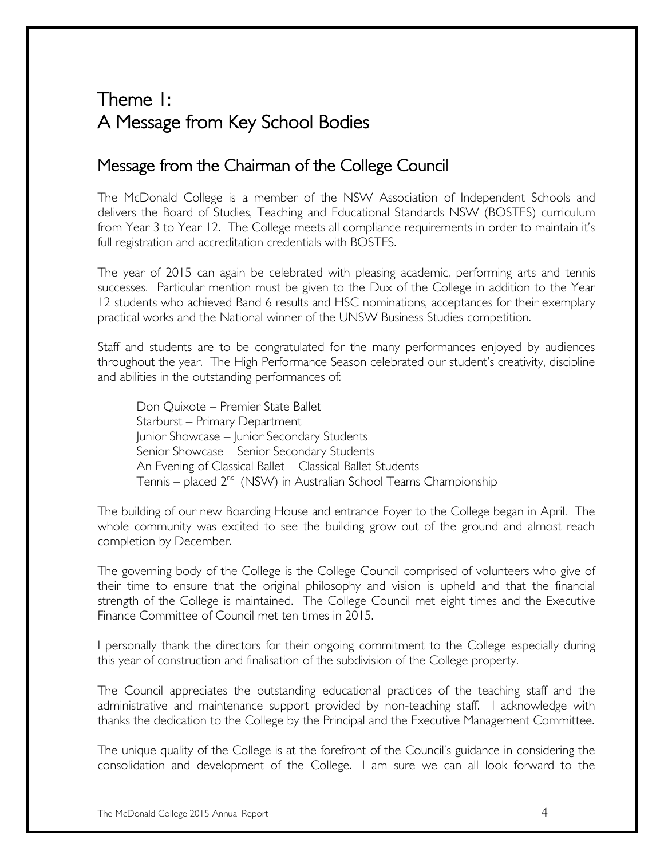## Theme 1: A Message from Key School Bodies

### Message from the Chairman of the College Council

The McDonald College is a member of the NSW Association of Independent Schools and delivers the Board of Studies, Teaching and Educational Standards NSW (BOSTES) curriculum from Year 3 to Year 12. The College meets all compliance requirements in order to maintain it's full registration and accreditation credentials with BOSTES.

The year of 2015 can again be celebrated with pleasing academic, performing arts and tennis successes. Particular mention must be given to the Dux of the College in addition to the Year 12 students who achieved Band 6 results and HSC nominations, acceptances for their exemplary practical works and the National winner of the UNSW Business Studies competition.

Staff and students are to be congratulated for the many performances enjoyed by audiences throughout the year. The High Performance Season celebrated our student's creativity, discipline and abilities in the outstanding performances of:

Don Quixote – Premier State Ballet Starburst – Primary Department Junior Showcase – Junior Secondary Students Senior Showcase – Senior Secondary Students An Evening of Classical Ballet – Classical Ballet Students Tennis – placed  $2^{nd}$  (NSW) in Australian School Teams Championship

The building of our new Boarding House and entrance Foyer to the College began in April. The whole community was excited to see the building grow out of the ground and almost reach completion by December.

The governing body of the College is the College Council comprised of volunteers who give of their time to ensure that the original philosophy and vision is upheld and that the financial strength of the College is maintained. The College Council met eight times and the Executive Finance Committee of Council met ten times in 2015.

I personally thank the directors for their ongoing commitment to the College especially during this year of construction and finalisation of the subdivision of the College property.

The Council appreciates the outstanding educational practices of the teaching staff and the administrative and maintenance support provided by non-teaching staff. I acknowledge with thanks the dedication to the College by the Principal and the Executive Management Committee.

The unique quality of the College is at the forefront of the Council's guidance in considering the consolidation and development of the College. I am sure we can all look forward to the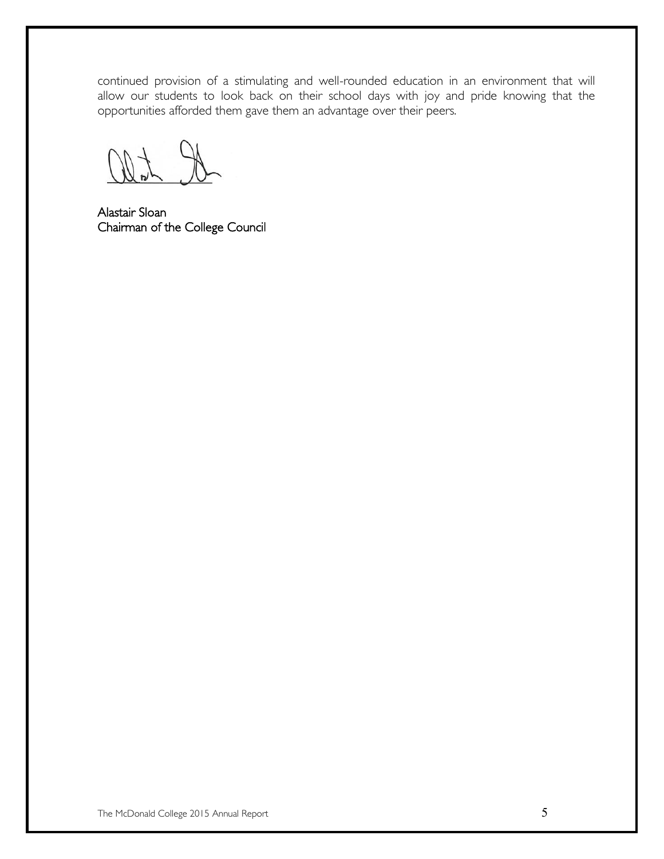continued provision of a stimulating and well-rounded education in an environment that will allow our students to look back on their school days with joy and pride knowing that the opportunities afforded them gave them an advantage over their peers.

Alastair Sloan Chairman of the College Council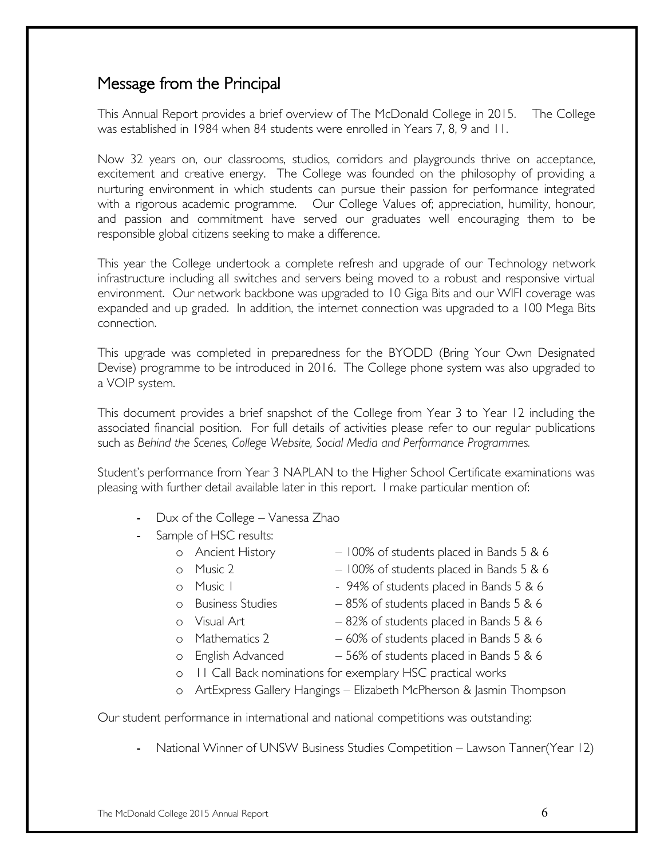### Message from the Principal

This Annual Report provides a brief overview of The McDonald College in 2015. The College was established in 1984 when 84 students were enrolled in Years 7, 8, 9 and 11.

Now 32 years on, our classrooms, studios, corridors and playgrounds thrive on acceptance, excitement and creative energy. The College was founded on the philosophy of providing a nurturing environment in which students can pursue their passion for performance integrated with a rigorous academic programme. Our College Values of; appreciation, humility, honour, and passion and commitment have served our graduates well encouraging them to be responsible global citizens seeking to make a difference.

This year the College undertook a complete refresh and upgrade of our Technology network infrastructure including all switches and servers being moved to a robust and responsive virtual environment. Our network backbone was upgraded to 10 Giga Bits and our WIFI coverage was expanded and up graded. In addition, the internet connection was upgraded to a 100 Mega Bits connection.

This upgrade was completed in preparedness for the BYODD (Bring Your Own Designated Devise) programme to be introduced in 2016. The College phone system was also upgraded to a VOIP system.

This document provides a brief snapshot of the College from Year 3 to Year 12 including the associated financial position. For full details of activities please refer to our regular publications such as *Behind the Scenes, College Website, Social Media and Performance Programmes.* 

Student's performance from Year 3 NAPLAN to the Higher School Certificate examinations was pleasing with further detail available later in this report. I make particular mention of:

- Dux of the College Vanessa Zhao
- Sample of HSC results:
	- o Ancient History 100% of students placed in Bands 5 & 6
	- o Music 2 100% of students placed in Bands 5 & 6
	- o Music I 94% of students placed in Bands 5 & 6
	- o Business Studies 85% of students placed in Bands 5 & 6
	-
	- o Visual Art  $-82\%$  of students placed in Bands  $5.86$
	- o Mathematics 2  $-60\%$  of students placed in Bands 5 & 6
	-
	- o English Advanced 56% of students placed in Bands 5 & 6
	- o 11 Call Back nominations for exemplary HSC practical works
	- o ArtExpress Gallery Hangings Elizabeth McPherson & Jasmin Thompson

Our student performance in international and national competitions was outstanding:

- National Winner of UNSW Business Studies Competition – Lawson Tanner(Year 12)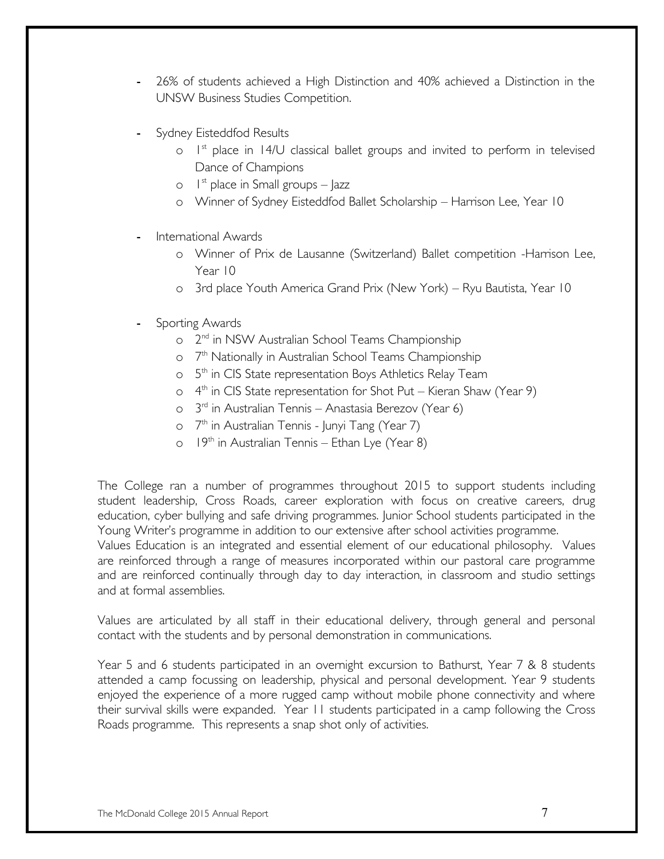- 26% of students achieved a High Distinction and 40% achieved a Distinction in the UNSW Business Studies Competition.
- Sydney Eisteddfod Results
	- $\circ$  1st place in 14/U classical ballet groups and invited to perform in televised Dance of Champions
	- $\circ$  1<sup>st</sup> place in Small groups Jazz
	- o Winner of Sydney Eisteddfod Ballet Scholarship Harrison Lee, Year 10
- International Awards
	- o Winner of Prix de Lausanne (Switzerland) Ballet competition -Harrison Lee, Year 10
	- o 3rd place Youth America Grand Prix (New York) Ryu Bautista, Year 10
- Sporting Awards
	- o  $2<sup>nd</sup>$  in NSW Australian School Teams Championship
	- o 7<sup>th</sup> Nationally in Australian School Teams Championship
	- o 5<sup>th</sup> in CIS State representation Boys Athletics Relay Team
	- $\circ$  4<sup>th</sup> in CIS State representation for Shot Put Kieran Shaw (Year 9)
	- o 3rd in Australian Tennis Anastasia Berezov (Year 6)
	- o 7<sup>th</sup> in Australian Tennis Junyi Tang (Year 7)
	- $\circ$  19<sup>th</sup> in Australian Tennis Ethan Lye (Year 8)

The College ran a number of programmes throughout 2015 to support students including student leadership, Cross Roads, career exploration with focus on creative careers, drug education, cyber bullying and safe driving programmes. Junior School students participated in the Young Writer's programme in addition to our extensive after school activities programme.

Values Education is an integrated and essential element of our educational philosophy. Values are reinforced through a range of measures incorporated within our pastoral care programme and are reinforced continually through day to day interaction, in classroom and studio settings and at formal assemblies.

Values are articulated by all staff in their educational delivery, through general and personal contact with the students and by personal demonstration in communications.

Year 5 and 6 students participated in an overnight excursion to Bathurst, Year 7 & 8 students attended a camp focussing on leadership, physical and personal development. Year 9 students enjoyed the experience of a more rugged camp without mobile phone connectivity and where their survival skills were expanded. Year 11 students participated in a camp following the Cross Roads programme. This represents a snap shot only of activities.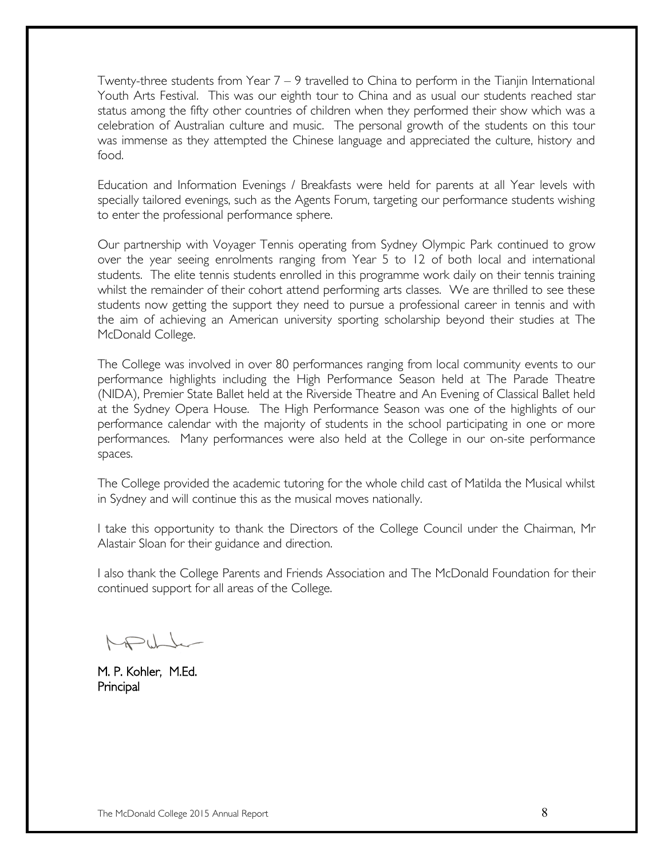Twenty-three students from Year  $7 - 9$  travelled to China to perform in the Tianjin International Youth Arts Festival. This was our eighth tour to China and as usual our students reached star status among the fifty other countries of children when they performed their show which was a celebration of Australian culture and music. The personal growth of the students on this tour was immense as they attempted the Chinese language and appreciated the culture, history and food.

Education and Information Evenings / Breakfasts were held for parents at all Year levels with specially tailored evenings, such as the Agents Forum, targeting our performance students wishing to enter the professional performance sphere.

Our partnership with Voyager Tennis operating from Sydney Olympic Park continued to grow over the year seeing enrolments ranging from Year 5 to 12 of both local and international students. The elite tennis students enrolled in this programme work daily on their tennis training whilst the remainder of their cohort attend performing arts classes. We are thrilled to see these students now getting the support they need to pursue a professional career in tennis and with the aim of achieving an American university sporting scholarship beyond their studies at The McDonald College.

The College was involved in over 80 performances ranging from local community events to our performance highlights including the High Performance Season held at The Parade Theatre (NIDA), Premier State Ballet held at the Riverside Theatre and An Evening of Classical Ballet held at the Sydney Opera House. The High Performance Season was one of the highlights of our performance calendar with the majority of students in the school participating in one or more performances. Many performances were also held at the College in our on-site performance spaces.

The College provided the academic tutoring for the whole child cast of Matilda the Musical whilst in Sydney and will continue this as the musical moves nationally.

I take this opportunity to thank the Directors of the College Council under the Chairman, Mr Alastair Sloan for their guidance and direction.

I also thank the College Parents and Friends Association and The McDonald Foundation for their continued support for all areas of the College.

M. P. Kohler, M.Ed. Principal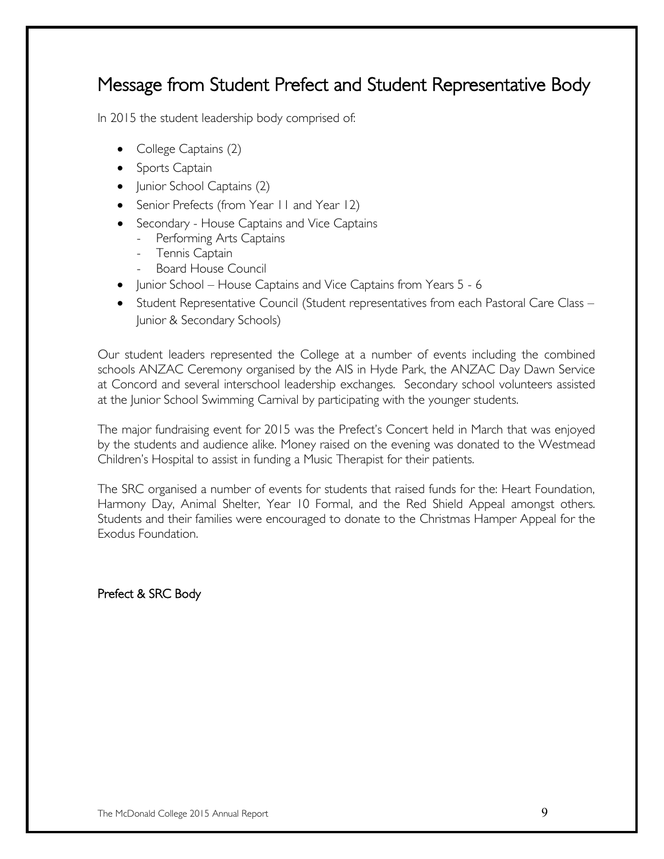## Message from Student Prefect and Student Representative Body

In 2015 the student leadership body comprised of:

- $\bullet$  College Captains  $(2)$
- Sports Captain
- Junior School Captains (2)
- Senior Prefects (from Year II and Year 12)
- Secondary House Captains and Vice Captains
	- Performing Arts Captains
	- Tennis Captain
	- Board House Council
- Junior School House Captains and Vice Captains from Years 5 6
- Student Representative Council (Student representatives from each Pastoral Care Class Junior & Secondary Schools)

Our student leaders represented the College at a number of events including the combined schools ANZAC Ceremony organised by the AIS in Hyde Park, the ANZAC Day Dawn Service at Concord and several interschool leadership exchanges. Secondary school volunteers assisted at the Junior School Swimming Carnival by participating with the younger students.

The major fundraising event for 2015 was the Prefect's Concert held in March that was enjoyed by the students and audience alike. Money raised on the evening was donated to the Westmead Children's Hospital to assist in funding a Music Therapist for their patients.

The SRC organised a number of events for students that raised funds for the: Heart Foundation, Harmony Day, Animal Shelter, Year 10 Formal, and the Red Shield Appeal amongst others. Students and their families were encouraged to donate to the Christmas Hamper Appeal for the Exodus Foundation.

Prefect & SRC Body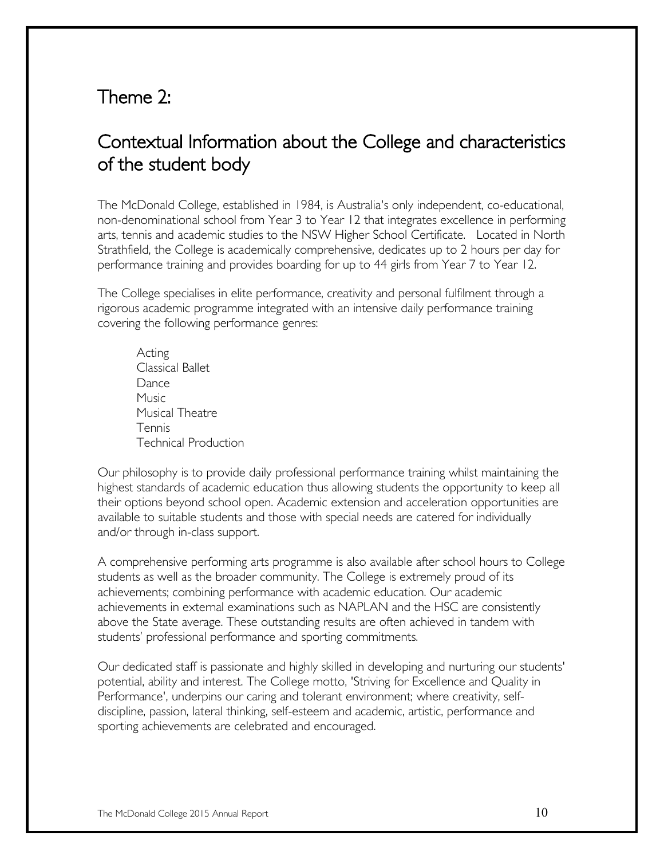## Theme 2:

## Contextual Information about the College and characteristics of the student body

The McDonald College, established in 1984, is Australia's only independent, co-educational, non-denominational school from Year 3 to Year 12 that integrates excellence in performing arts, tennis and academic studies to the NSW Higher School Certificate. Located in North Strathfield, the College is academically comprehensive, dedicates up to 2 hours per day for performance training and provides boarding for up to 44 girls from Year 7 to Year 12.

The College specialises in elite performance, creativity and personal fulfilment through a rigorous academic programme integrated with an intensive daily performance training covering the following performance genres:

Acting Classical Ballet Dance Music Musical Theatre Tennis Technical Production

Our philosophy is to provide daily professional performance training whilst maintaining the highest standards of academic education thus allowing students the opportunity to keep all their options beyond school open. Academic extension and acceleration opportunities are available to suitable students and those with special needs are catered for individually and/or through in-class support.

A comprehensive performing arts programme is also available after school hours to College students as well as the broader community. The College is extremely proud of its achievements; combining performance with academic education. Our academic achievements in external examinations such as NAPLAN and the HSC are consistently above the State average. These outstanding results are often achieved in tandem with students' professional performance and sporting commitments.

Our dedicated staff is passionate and highly skilled in developing and nurturing our students' potential, ability and interest. The College motto, 'Striving for Excellence and Quality in Performance', underpins our caring and tolerant environment; where creativity, selfdiscipline, passion, lateral thinking, self-esteem and academic, artistic, performance and sporting achievements are celebrated and encouraged.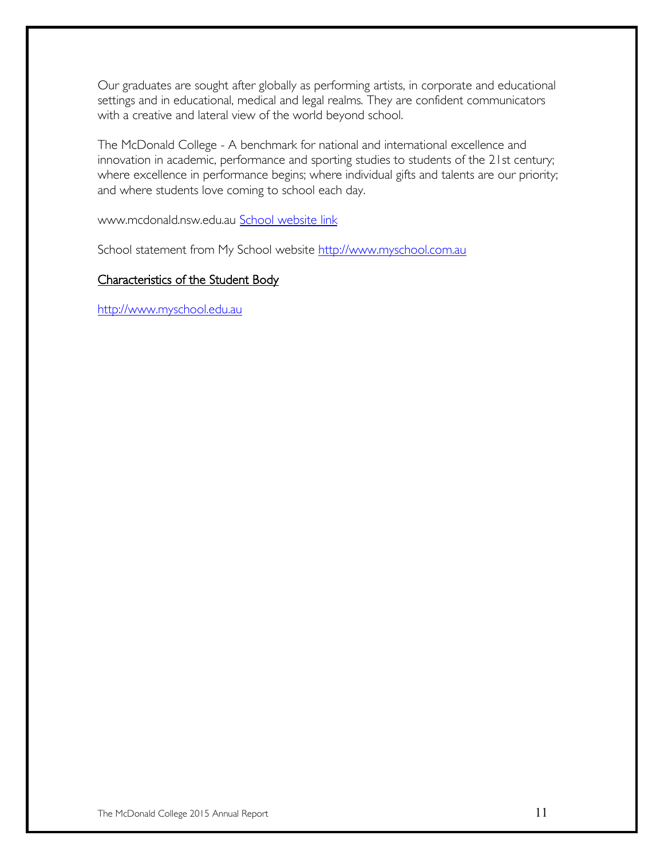Our graduates are sought after globally as performing artists, in corporate and educational settings and in educational, medical and legal realms. They are confident communicators with a creative and lateral view of the world beyond school.

The McDonald College - A benchmark for national and international excellence and innovation in academic, performance and sporting studies to students of the 21st century; where excellence in performance begins; where individual gifts and talents are our priority; and where students love coming to school each day.

www.mcdonald.nsw.edu.au [School website link](http://www.mcdonald.nsw.edu.au/) 

School statement from My School website [http://www.myschool.com.au](http://www.myschool.com.au/)

#### Characteristics of the Student Body

[http://www.myschool.edu.au](http://www.myschool.edu.au/)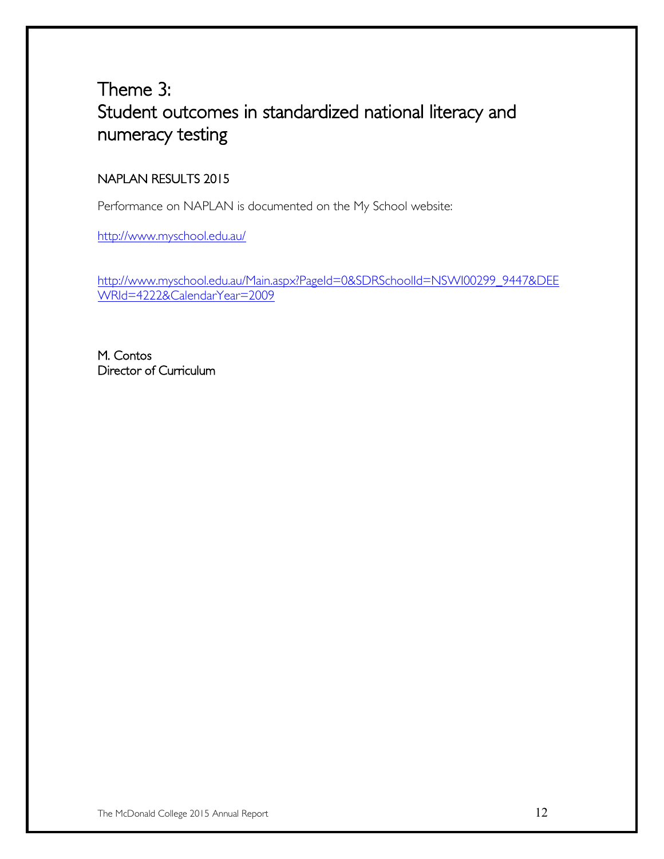## Theme 3: Student outcomes in standardized national literacy and numeracy testing

#### NAPLAN RESULTS 2015

Performance on NAPLAN is documented on the My School website:

<http://www.myschool.edu.au/>

[http://www.myschool.edu.au/Main.aspx?PageId=0&SDRSchoolId=NSWI00299\\_9447&DEE](http://www.myschool.edu.au/Main.aspx?PageId=0&SDRSchoolId=NSWI00299_9447&DEEWRId=4222&CalendarYear=2009) [WRId=4222&CalendarYear=2009](http://www.myschool.edu.au/Main.aspx?PageId=0&SDRSchoolId=NSWI00299_9447&DEEWRId=4222&CalendarYear=2009)

M. Contos Director of Curriculum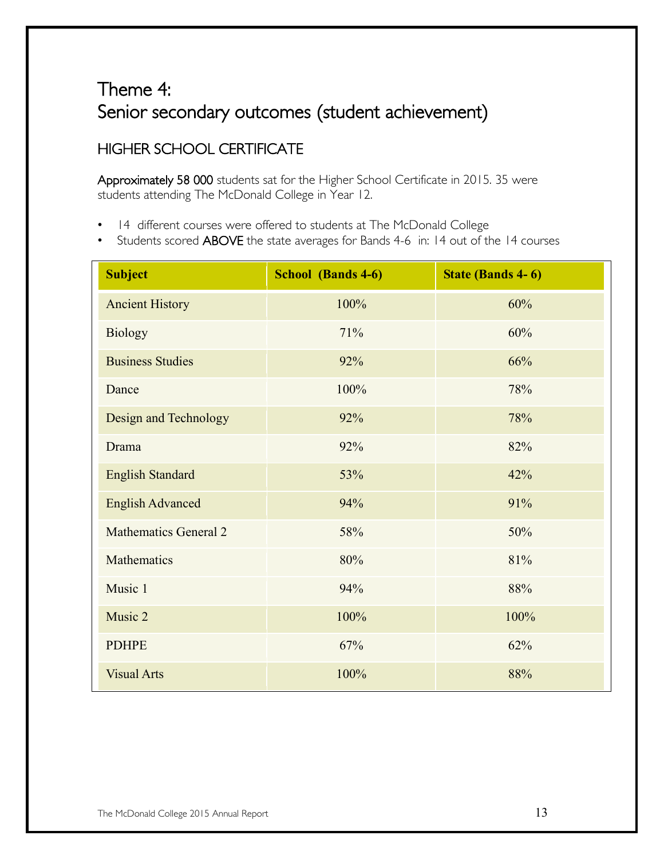## Theme 4: Senior secondary outcomes (student achievement)

#### HIGHER SCHOOL CERTIFICATE

Approximately 58 000 students sat for the Higher School Certificate in 2015. 35 were students attending The McDonald College in Year 12.

- 14 different courses were offered to students at The McDonald College
- Students scored ABOVE the state averages for Bands 4-6 in: 14 out of the 14 courses

| <b>Subject</b>               | <b>School</b> (Bands 4-6) | <b>State (Bands 4-6)</b> |
|------------------------------|---------------------------|--------------------------|
| <b>Ancient History</b>       | 100%                      | 60%                      |
| <b>Biology</b>               | 71%                       | 60%                      |
| <b>Business Studies</b>      | 92%                       | 66%                      |
| Dance                        | 100%                      | 78%                      |
| Design and Technology        | 92%                       | 78%                      |
| Drama                        | 92%                       | 82%                      |
| <b>English Standard</b>      | 53%                       | 42%                      |
| <b>English Advanced</b>      | 94%                       | 91%                      |
| <b>Mathematics General 2</b> | 58%                       | 50%                      |
| Mathematics                  | 80%                       | 81%                      |
| Music 1                      | 94%                       | 88%                      |
| Music 2                      | 100%                      | 100%                     |
| <b>PDHPE</b>                 | 67%                       | 62%                      |
| <b>Visual Arts</b>           | 100%                      | 88%                      |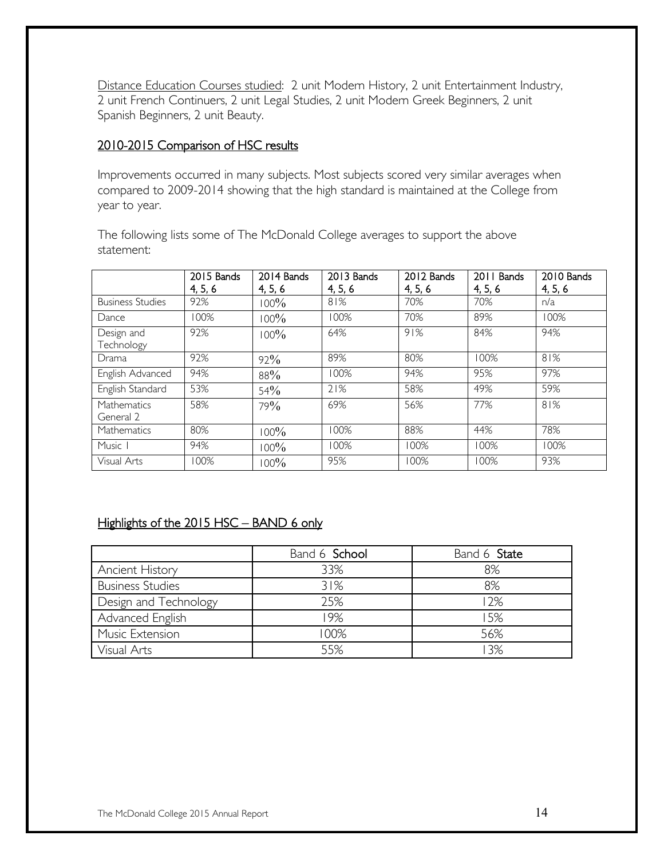Distance Education Courses studied: 2 unit Modern History, 2 unit Entertainment Industry, 2 unit French Continuers, 2 unit Legal Studies, 2 unit Modern Greek Beginners, 2 unit Spanish Beginners, 2 unit Beauty.

#### 2010-2015 Comparison of HSC results

Improvements occurred in many subjects. Most subjects scored very similar averages when compared to 2009-2014 showing that the high standard is maintained at the College from year to year.

The following lists some of The McDonald College averages to support the above statement:

|                          | 2015 Bands<br>4, 5, 6 | 2014 Bands<br>4, 5, 6 | 2013 Bands<br>4, 5, 6 | 2012 Bands<br>4, 5, 6 | 2011 Bands<br>4, 5, 6 | 2010 Bands<br>4, 5, 6 |
|--------------------------|-----------------------|-----------------------|-----------------------|-----------------------|-----------------------|-----------------------|
| <b>Business Studies</b>  | 92%                   | 100%                  | 81%                   | 70%                   | 70%                   | n/a                   |
| Dance                    | 100%                  | 100%                  | 100%                  | 70%                   | 89%                   | 100%                  |
| Design and<br>Technology | 92%                   | 100%                  | 64%                   | 91%                   | 84%                   | 94%                   |
| Drama                    | 92%                   | 92%                   | 89%                   | 80%                   | 100%                  | 81%                   |
| English Advanced         | 94%                   | 88%                   | 100%                  | 94%                   | 95%                   | 97%                   |
| English Standard         | 53%                   | 54%                   | 21%                   | 58%                   | 49%                   | 59%                   |
| Mathematics<br>General 2 | 58%                   | 79%                   | 69%                   | 56%                   | 77%                   | 81%                   |
| <b>Mathematics</b>       | 80%                   | 100%                  | 100%                  | 88%                   | 44%                   | 78%                   |
| Music 1                  | 94%                   | 100%                  | 100%                  | 100%                  | 100%                  | 100%                  |
| Visual Arts              | 100%                  | $100\%$               | 95%                   | 100%                  | 100%                  | 93%                   |

#### Highlights of the 2015 HSC - BAND 6 only

|                         | Band 6 School | Band 6 State |
|-------------------------|---------------|--------------|
| <b>Ancient History</b>  | 33%           | 8%           |
| <b>Business Studies</b> | 31%           | 8%           |
| Design and Technology   | 25%           | 12%          |
| Advanced English        | 19%           | 15%          |
| Music Extension         | 100%          | 56%          |
| Visual Arts             | 55%           | 13%          |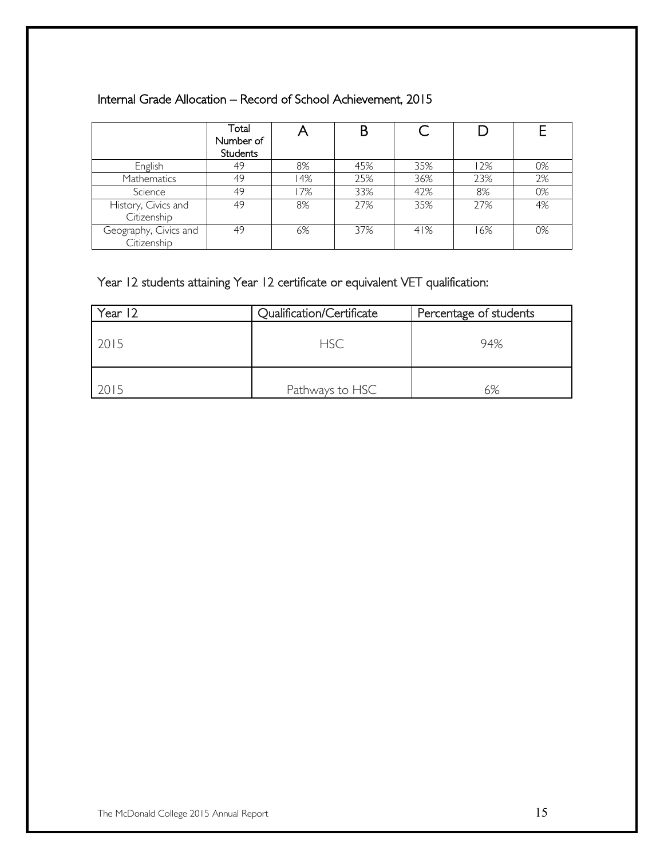#### Internal Grade Allocation – Record of School Achievement, 2015

|                                      | Total<br>Number of<br><b>Students</b> |     | B   |     |     |    |
|--------------------------------------|---------------------------------------|-----|-----|-----|-----|----|
| English                              | 49                                    | 8%  | 45% | 35% | 12% | 0% |
| Mathematics                          | 49                                    | 14% | 25% | 36% | 23% | 2% |
| Science                              | 49                                    | 17% | 33% | 42% | 8%  | 0% |
| History, Civics and<br>Citizenship   | 49                                    | 8%  | 27% | 35% | 27% | 4% |
| Geography, Civics and<br>Citizenship | 49                                    | 6%  | 37% | 41% | 16% | 0% |

#### Year 12 students attaining Year 12 certificate or equivalent VET qualification:

| Year 12 | Qualification/Certificate | Percentage of students |
|---------|---------------------------|------------------------|
| 2015    | <b>HSC</b>                | 94%                    |
| 2015    | Pathways to HSC           | 6%                     |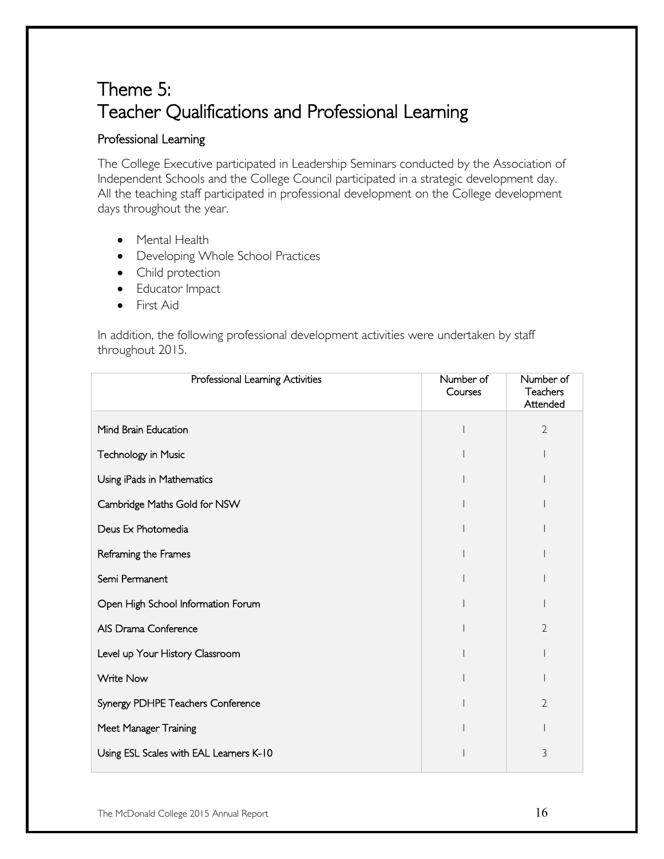## Theme 5: Teacher Qualifications and Professional Learning

#### Professional Learning

The College Executive participated in Leadership Seminars conducted by the Association of Independent Schools and the College Council participated in a strategic development day. All the teaching staff participated in professional development on the College development days throughout the year.

- Mental Health
- Developing Whole School Practices
- Child protection
- Educator Impact
- First Aid

In addition, the following professional development activities were undertaken by staff throughout 2015.

| Professional Learning Activities        | Number of<br>Courses | Number of<br>Teachers<br>Attended |
|-----------------------------------------|----------------------|-----------------------------------|
| Mind Brain Education                    |                      | $\overline{2}$                    |
| Technology in Music                     |                      |                                   |
| Using iPads in Mathematics              |                      |                                   |
| Cambridge Maths Gold for NSW            |                      |                                   |
| Deus Ex Photomedia                      |                      |                                   |
| Reframing the Frames                    |                      |                                   |
| Semi Permanent                          |                      |                                   |
| Open High School Information Forum      |                      |                                   |
| AIS Drama Conference                    |                      | $\overline{2}$                    |
| Level up Your History Classroom         |                      |                                   |
| <b>Write Now</b>                        |                      |                                   |
| Synergy PDHPE Teachers Conference       |                      | $\overline{2}$                    |
| Meet Manager Training                   |                      |                                   |
| Using ESL Scales with EAL Learners K-10 |                      | 3                                 |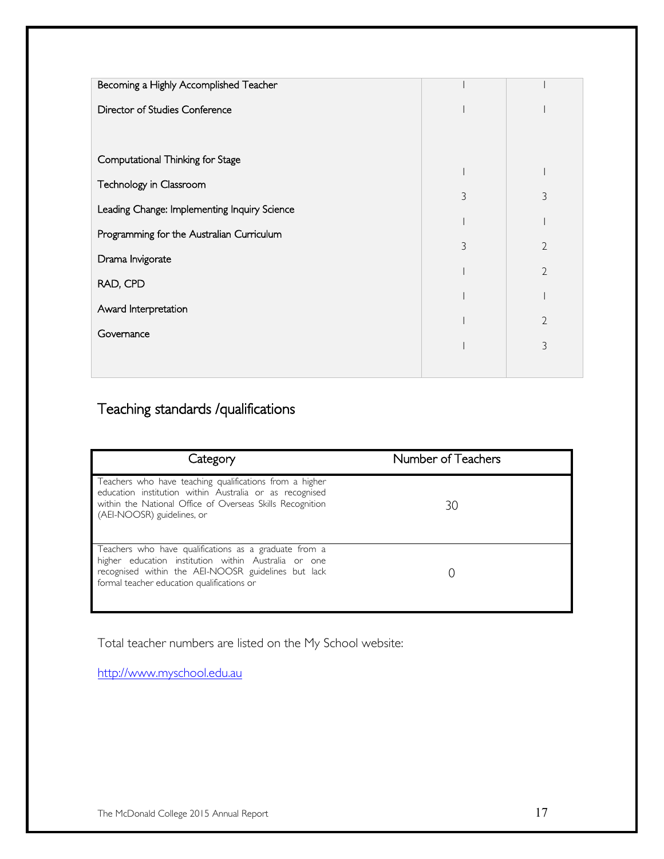| Becoming a Highly Accomplished Teacher       |   |                |
|----------------------------------------------|---|----------------|
| Director of Studies Conference               |   |                |
|                                              |   |                |
| Computational Thinking for Stage             |   |                |
|                                              |   |                |
| Technology in Classroom                      |   |                |
| Leading Change: Implementing Inquiry Science | 3 | 3              |
|                                              |   |                |
| Programming for the Australian Curriculum    | 3 | $\overline{2}$ |
| Drama Invigorate                             |   |                |
| RAD, CPD                                     |   | $\overline{2}$ |
|                                              |   |                |
| Award Interpretation                         |   |                |
|                                              |   | 2              |
| Governance                                   |   | 3              |
|                                              |   |                |
|                                              |   |                |

## Teaching standards /qualifications

| Category                                                                                                                                                                                                           | Number of Teachers |
|--------------------------------------------------------------------------------------------------------------------------------------------------------------------------------------------------------------------|--------------------|
| Teachers who have teaching qualifications from a higher<br>education institution within Australia or as recognised<br>within the National Office of Overseas Skills Recognition<br>(AEI-NOOSR) guidelines, or      | 30                 |
| Teachers who have qualifications as a graduate from a<br>higher education institution within Australia or one<br>recognised within the AEI-NOOSR guidelines but lack<br>formal teacher education qualifications or |                    |

Total teacher numbers are listed on the My School website:

[http://www.myschool.edu.au](http://www.myschool.edu.au/)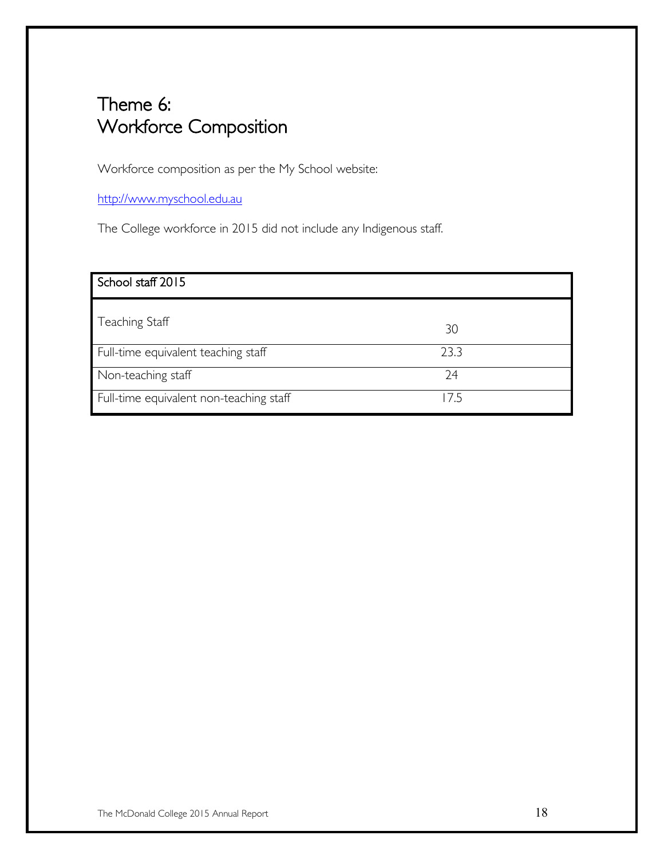## Theme 6: Workforce Composition

Workforce composition as per the My School website:

[http://www.myschool.edu.au](http://www.myschool.edu.au/)

The College workforce in 2015 did not include any Indigenous staff.

| School staff 2015                       |      |
|-----------------------------------------|------|
| Teaching Staff                          | 30   |
| Full-time equivalent teaching staff     | 23.3 |
| Non-teaching staff                      | 74   |
| Full-time equivalent non-teaching staff | 175  |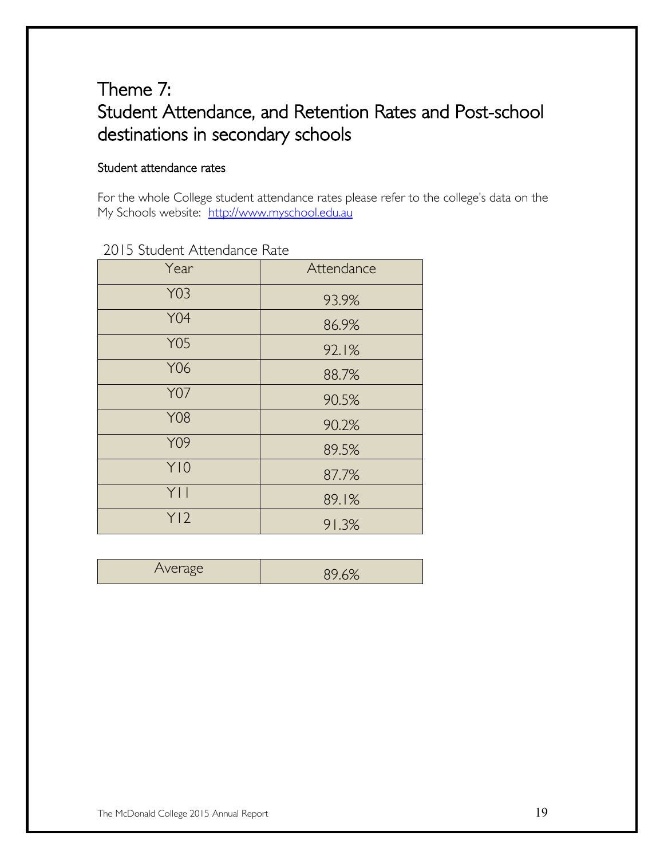## Theme 7: Student Attendance, and Retention Rates and Post-school destinations in secondary schools

#### Student attendance rates

For the whole College student attendance rates please refer to the college's data on the My Schools website: [http://www.myschool.edu.au](http://www.myschool.edu.au/)

| Year       | Attendance |
|------------|------------|
| <b>Y03</b> | 93.9%      |
| <b>Y04</b> | 86.9%      |
| <b>Y05</b> | 92.1%      |
| Y06        | 88.7%      |
| <b>Y07</b> | 90.5%      |
| <b>Y08</b> | 90.2%      |
| Y09        | 89.5%      |
| Y10        | 87.7%      |
| YII        | 89.1%      |
| Y12        | 91.3%      |

#### 2015 Student Attendance Rate

| <b>CAOP</b><br>$1.11$ $-1.42$ | ∼ |
|-------------------------------|---|
|                               |   |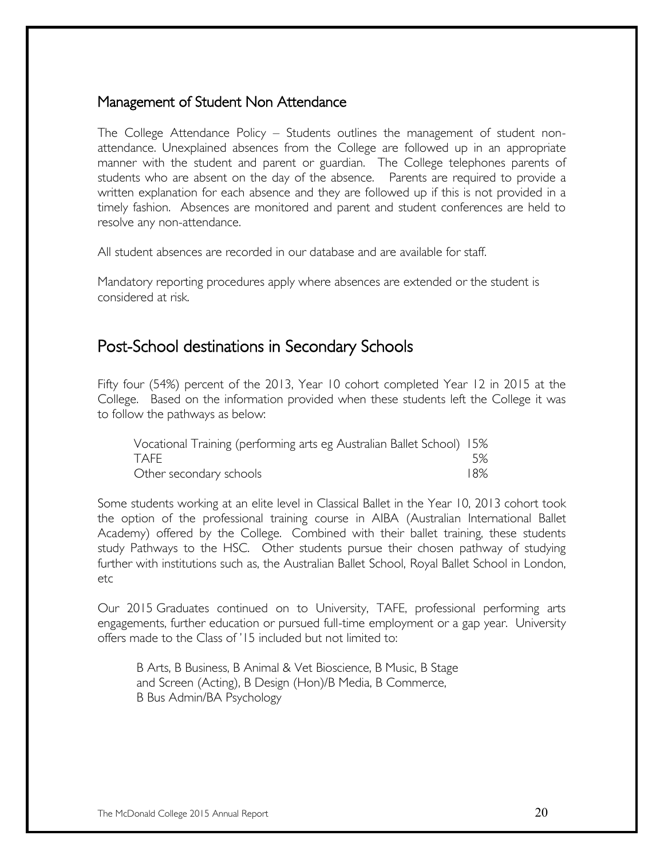#### Management of Student Non Attendance

The College Attendance Policy – Students outlines the management of student nonattendance. Unexplained absences from the College are followed up in an appropriate manner with the student and parent or guardian. The College telephones parents of students who are absent on the day of the absence. Parents are required to provide a written explanation for each absence and they are followed up if this is not provided in a timely fashion. Absences are monitored and parent and student conferences are held to resolve any non-attendance.

All student absences are recorded in our database and are available for staff.

Mandatory reporting procedures apply where absences are extended or the student is considered at risk.

#### Post-School destinations in Secondary Schools

Fifty four (54%) percent of the 2013, Year 10 cohort completed Year 12 in 2015 at the College. Based on the information provided when these students left the College it was to follow the pathways as below:

| Vocational Training (performing arts eg Australian Ballet School) 15% |     |
|-----------------------------------------------------------------------|-----|
| TAFF                                                                  | .5% |
| Other secondary schools                                               | 18% |

Some students working at an elite level in Classical Ballet in the Year 10, 2013 cohort took the option of the professional training course in AIBA (Australian International Ballet Academy) offered by the College. Combined with their ballet training, these students study Pathways to the HSC. Other students pursue their chosen pathway of studying further with institutions such as, the Australian Ballet School, Royal Ballet School in London, etc

Our 2015 Graduates continued on to University, TAFE, professional performing arts engagements, further education or pursued full-time employment or a gap year. University offers made to the Class of '15 included but not limited to:

B Arts, B Business, B Animal & Vet Bioscience, B Music, B Stage and Screen (Acting), B Design (Hon)/B Media, B Commerce, B Bus Admin/BA Psychology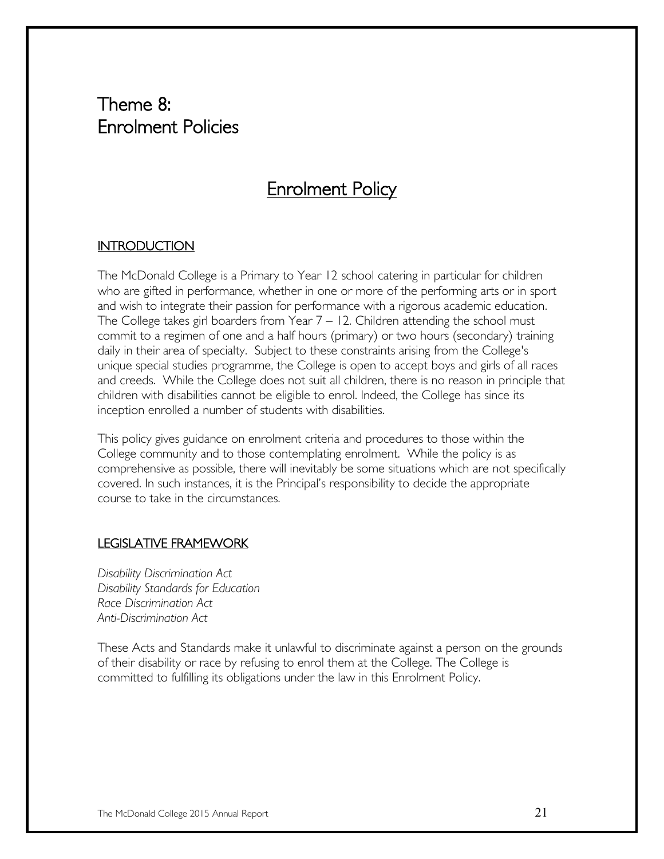## Theme 8: Enrolment Policies

## Enrolment Policy

#### **INTRODUCTION**

The McDonald College is a Primary to Year 12 school catering in particular for children who are gifted in performance, whether in one or more of the performing arts or in sport and wish to integrate their passion for performance with a rigorous academic education. The College takes girl boarders from Year  $7 - 12$ . Children attending the school must commit to a regimen of one and a half hours (primary) or two hours (secondary) training daily in their area of specialty. Subject to these constraints arising from the College's unique special studies programme, the College is open to accept boys and girls of all races and creeds. While the College does not suit all children, there is no reason in principle that children with disabilities cannot be eligible to enrol. Indeed, the College has since its inception enrolled a number of students with disabilities.

This policy gives guidance on enrolment criteria and procedures to those within the College community and to those contemplating enrolment. While the policy is as comprehensive as possible, there will inevitably be some situations which are not specifically covered. In such instances, it is the Principal's responsibility to decide the appropriate course to take in the circumstances.

#### LEGISLATIVE FRAMEWORK

*Disability Discrimination Act Disability Standards for Education Race Discrimination Act Anti-Discrimination Act*

These Acts and Standards make it unlawful to discriminate against a person on the grounds of their disability or race by refusing to enrol them at the College. The College is committed to fulfilling its obligations under the law in this Enrolment Policy.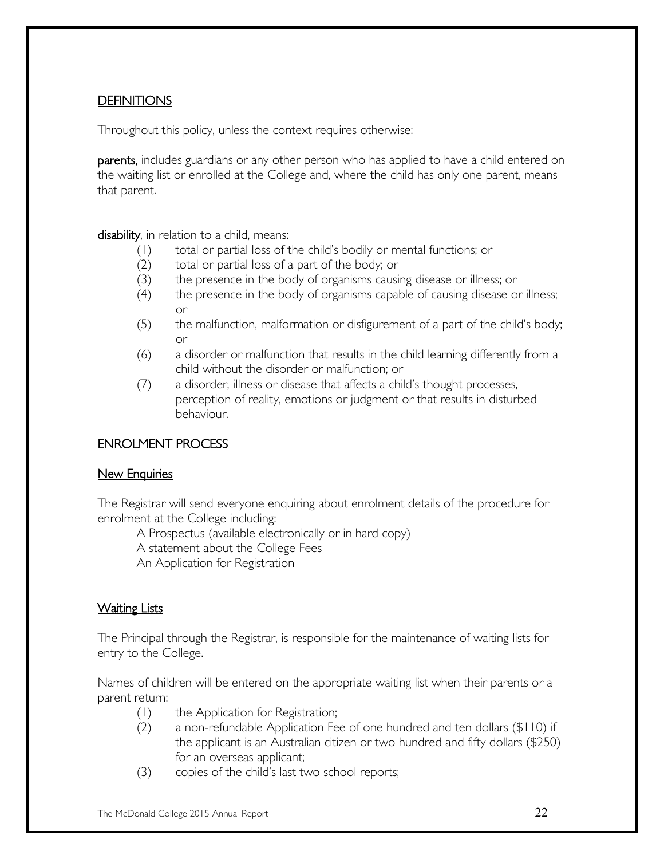#### **DEFINITIONS**

Throughout this policy, unless the context requires otherwise:

parents, includes guardians or any other person who has applied to have a child entered on the waiting list or enrolled at the College and, where the child has only one parent, means that parent.

disability, in relation to a child, means:

- (1) total or partial loss of the child's bodily or mental functions; or
- (2) total or partial loss of a part of the body; or
- (3) the presence in the body of organisms causing disease or illness; or
- (4) the presence in the body of organisms capable of causing disease or illness; or
- (5) the malfunction, malformation or disfigurement of a part of the child's body; or
- (6) a disorder or malfunction that results in the child learning differently from a child without the disorder or malfunction; or
- (7) a disorder, illness or disease that affects a child's thought processes, perception of reality, emotions or judgment or that results in disturbed behaviour.

#### ENROLMENT PROCESS

#### New Enquiries

The Registrar will send everyone enquiring about enrolment details of the procedure for enrolment at the College including:

A Prospectus (available electronically or in hard copy)

A statement about the College Fees

An Application for Registration

#### Waiting Lists

The Principal through the Registrar, is responsible for the maintenance of waiting lists for entry to the College.

Names of children will be entered on the appropriate waiting list when their parents or a parent return:

- (1) the Application for Registration;
- (2) a non-refundable Application Fee of one hundred and ten dollars (\$110) if the applicant is an Australian citizen or two hundred and fifty dollars (\$250) for an overseas applicant;
- (3) copies of the child's last two school reports;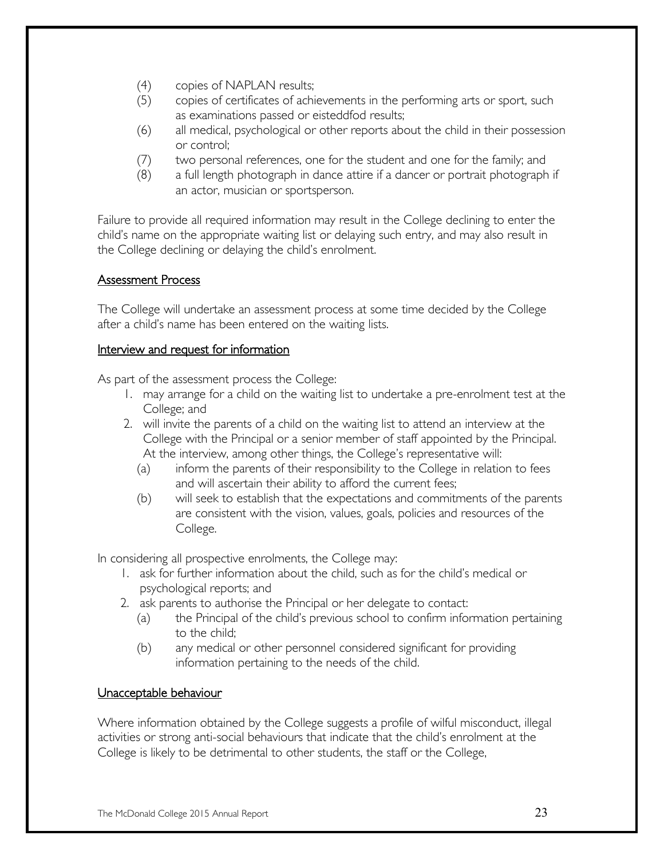- (4) copies of NAPLAN results;
- (5) copies of certificates of achievements in the performing arts or sport, such as examinations passed or eisteddfod results;
- (6) all medical, psychological or other reports about the child in their possession or control;
- (7) two personal references, one for the student and one for the family; and
- (8) a full length photograph in dance attire if a dancer or portrait photograph if an actor, musician or sportsperson.

Failure to provide all required information may result in the College declining to enter the child's name on the appropriate waiting list or delaying such entry, and may also result in the College declining or delaying the child's enrolment.

#### Assessment Process

The College will undertake an assessment process at some time decided by the College after a child's name has been entered on the waiting lists.

#### Interview and request for information

As part of the assessment process the College:

- 1. may arrange for a child on the waiting list to undertake a pre-enrolment test at the College; and
- 2. will invite the parents of a child on the waiting list to attend an interview at the College with the Principal or a senior member of staff appointed by the Principal. At the interview, among other things, the College's representative will:
	- (a) inform the parents of their responsibility to the College in relation to fees and will ascertain their ability to afford the current fees;
	- (b) will seek to establish that the expectations and commitments of the parents are consistent with the vision, values, goals, policies and resources of the College.

In considering all prospective enrolments, the College may:

- 1. ask for further information about the child, such as for the child's medical or psychological reports; and
- 2. ask parents to authorise the Principal or her delegate to contact:
	- (a) the Principal of the child's previous school to confirm information pertaining to the child;
	- (b) any medical or other personnel considered significant for providing information pertaining to the needs of the child.

#### Unacceptable behaviour

Where information obtained by the College suggests a profile of wilful misconduct, illegal activities or strong anti-social behaviours that indicate that the child's enrolment at the College is likely to be detrimental to other students, the staff or the College,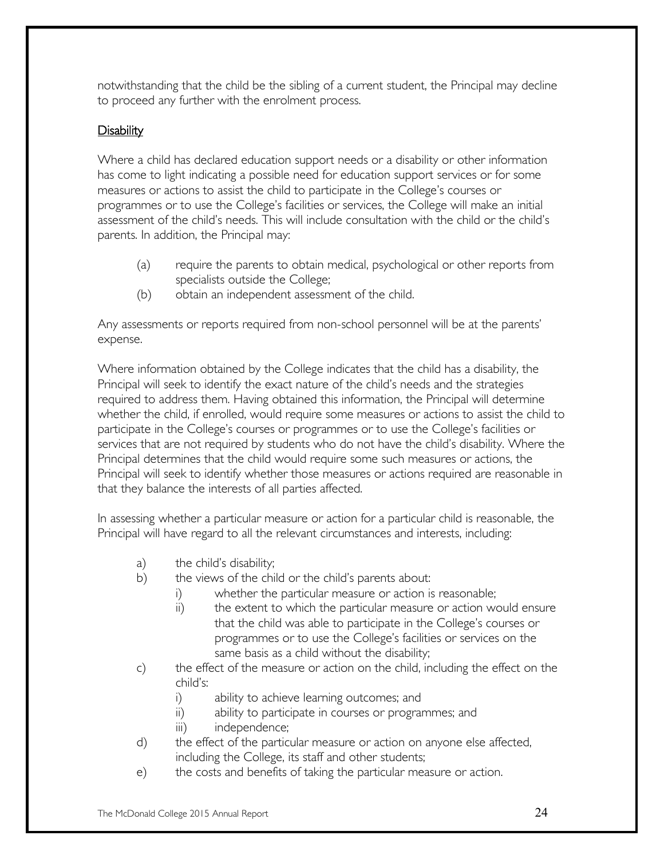notwithstanding that the child be the sibling of a current student, the Principal may decline to proceed any further with the enrolment process.

#### Disability

Where a child has declared education support needs or a disability or other information has come to light indicating a possible need for education support services or for some measures or actions to assist the child to participate in the College's courses or programmes or to use the College's facilities or services, the College will make an initial assessment of the child's needs. This will include consultation with the child or the child's parents. In addition, the Principal may:

- (a) require the parents to obtain medical, psychological or other reports from specialists outside the College;
- (b) obtain an independent assessment of the child.

Any assessments or reports required from non-school personnel will be at the parents' expense.

Where information obtained by the College indicates that the child has a disability, the Principal will seek to identify the exact nature of the child's needs and the strategies required to address them. Having obtained this information, the Principal will determine whether the child, if enrolled, would require some measures or actions to assist the child to participate in the College's courses or programmes or to use the College's facilities or services that are not required by students who do not have the child's disability. Where the Principal determines that the child would require some such measures or actions, the Principal will seek to identify whether those measures or actions required are reasonable in that they balance the interests of all parties affected.

In assessing whether a particular measure or action for a particular child is reasonable, the Principal will have regard to all the relevant circumstances and interests, including:

- a) the child's disability;
- b) the views of the child or the child's parents about:
	- i) whether the particular measure or action is reasonable;
	- ii) the extent to which the particular measure or action would ensure that the child was able to participate in the College's courses or programmes or to use the College's facilities or services on the same basis as a child without the disability;
- c) the effect of the measure or action on the child, including the effect on the child's:
	- i) ability to achieve learning outcomes; and
	- ii) ability to participate in courses or programmes; and
	- iii) independence;
- d) the effect of the particular measure or action on anyone else affected, including the College, its staff and other students;
- e) the costs and benefits of taking the particular measure or action.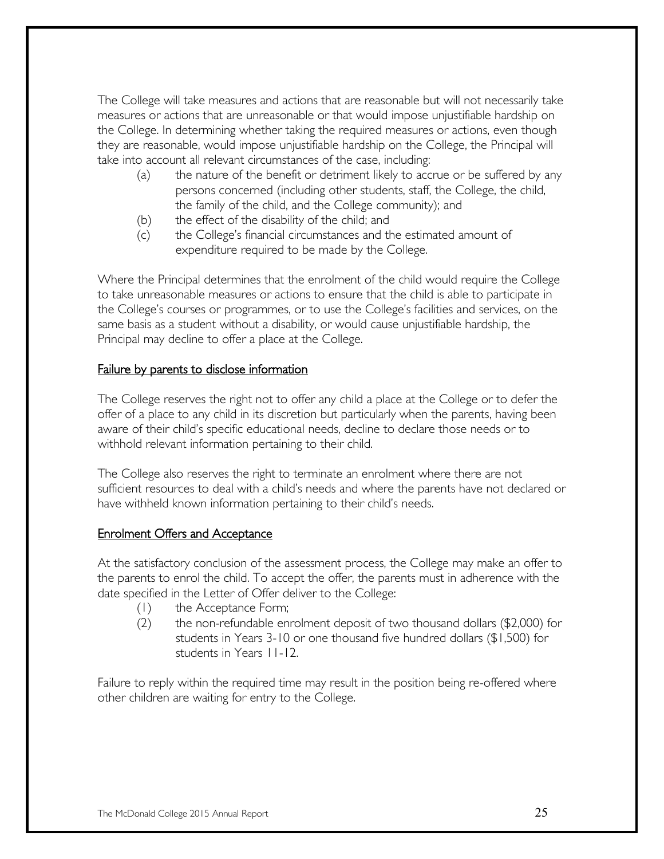The College will take measures and actions that are reasonable but will not necessarily take measures or actions that are unreasonable or that would impose unjustifiable hardship on the College. In determining whether taking the required measures or actions, even though they are reasonable, would impose unjustifiable hardship on the College, the Principal will take into account all relevant circumstances of the case, including:

- (a) the nature of the benefit or detriment likely to accrue or be suffered by any persons concerned (including other students, staff, the College, the child, the family of the child, and the College community); and
- (b) the effect of the disability of the child; and
- (c) the College's financial circumstances and the estimated amount of expenditure required to be made by the College.

Where the Principal determines that the enrolment of the child would require the College to take unreasonable measures or actions to ensure that the child is able to participate in the College's courses or programmes, or to use the College's facilities and services, on the same basis as a student without a disability, or would cause unjustifiable hardship, the Principal may decline to offer a place at the College.

#### Failure by parents to disclose information

The College reserves the right not to offer any child a place at the College or to defer the offer of a place to any child in its discretion but particularly when the parents, having been aware of their child's specific educational needs, decline to declare those needs or to withhold relevant information pertaining to their child.

The College also reserves the right to terminate an enrolment where there are not sufficient resources to deal with a child's needs and where the parents have not declared or have withheld known information pertaining to their child's needs.

#### Enrolment Offers and Acceptance

At the satisfactory conclusion of the assessment process, the College may make an offer to the parents to enrol the child. To accept the offer, the parents must in adherence with the date specified in the Letter of Offer deliver to the College:

- (1) the Acceptance Form;
- (2) the non-refundable enrolment deposit of two thousand dollars (\$2,000) for students in Years 3-10 or one thousand five hundred dollars (\$1,500) for students in Years 11-12.

Failure to reply within the required time may result in the position being re-offered where other children are waiting for entry to the College.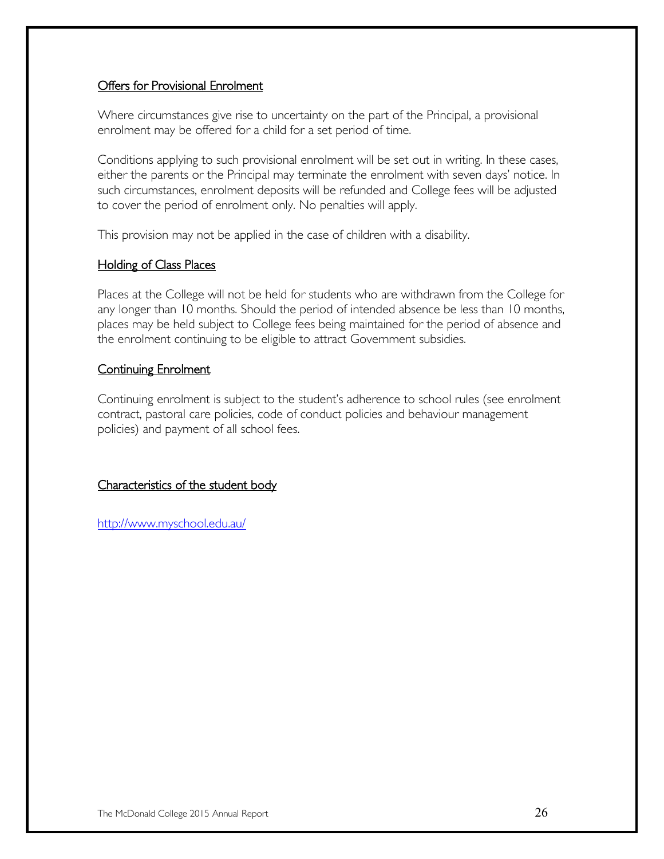#### Offers for Provisional Enrolment

Where circumstances give rise to uncertainty on the part of the Principal, a provisional enrolment may be offered for a child for a set period of time.

Conditions applying to such provisional enrolment will be set out in writing. In these cases, either the parents or the Principal may terminate the enrolment with seven days' notice. In such circumstances, enrolment deposits will be refunded and College fees will be adjusted to cover the period of enrolment only. No penalties will apply.

This provision may not be applied in the case of children with a disability.

#### Holding of Class Places

Places at the College will not be held for students who are withdrawn from the College for any longer than 10 months. Should the period of intended absence be less than 10 months, places may be held subject to College fees being maintained for the period of absence and the enrolment continuing to be eligible to attract Government subsidies.

#### **Continuing Enrolment**

Continuing enrolment is subject to the student's adherence to school rules (see enrolment contract, pastoral care policies, code of conduct policies and behaviour management policies) and payment of all school fees.

#### Characteristics of the student body

<http://www.myschool.edu.au/>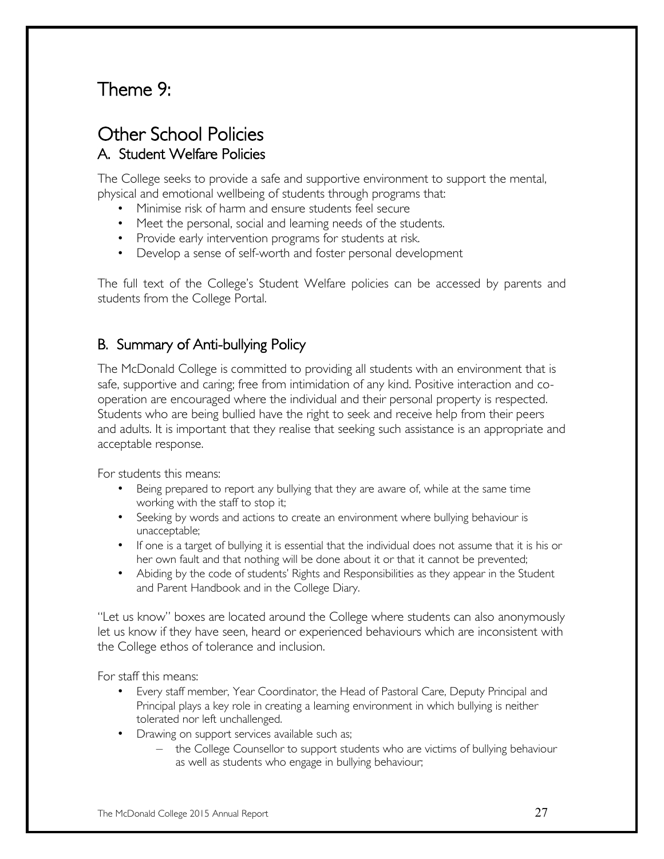## Theme 9:

## Other School Policies A. Student Welfare Policies

The College seeks to provide a safe and supportive environment to support the mental, physical and emotional wellbeing of students through programs that:

- Minimise risk of harm and ensure students feel secure
- Meet the personal, social and learning needs of the students.
- Provide early intervention programs for students at risk.
- Develop a sense of self-worth and foster personal development

The full text of the College's Student Welfare policies can be accessed by parents and students from the College Portal.

#### B. Summary of Anti-bullying Policy

The McDonald College is committed to providing all students with an environment that is safe, supportive and caring; free from intimidation of any kind. Positive interaction and cooperation are encouraged where the individual and their personal property is respected. Students who are being bullied have the right to seek and receive help from their peers and adults. It is important that they realise that seeking such assistance is an appropriate and acceptable response.

For students this means:

- Being prepared to report any bullying that they are aware of, while at the same time working with the staff to stop it;
- Seeking by words and actions to create an environment where bullying behaviour is unacceptable;
- If one is a target of bullying it is essential that the individual does not assume that it is his or her own fault and that nothing will be done about it or that it cannot be prevented;
- Abiding by the code of students' Rights and Responsibilities as they appear in the Student and Parent Handbook and in the College Diary.

"Let us know" boxes are located around the College where students can also anonymously let us know if they have seen, heard or experienced behaviours which are inconsistent with the College ethos of tolerance and inclusion.

For staff this means:

- Every staff member, Year Coordinator, the Head of Pastoral Care, Deputy Principal and Principal plays a key role in creating a learning environment in which bullying is neither tolerated nor left unchallenged.
- Drawing on support services available such as;
	- the College Counsellor to support students who are victims of bullying behaviour as well as students who engage in bullying behaviour;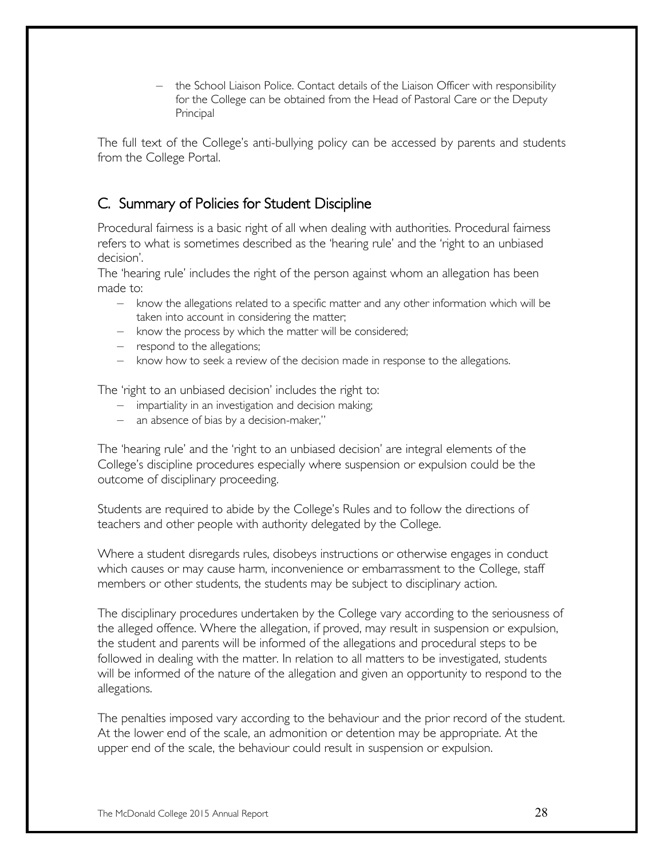– the School Liaison Police. Contact details of the Liaison Officer with responsibility for the College can be obtained from the Head of Pastoral Care or the Deputy Principal

The full text of the College's anti-bullying policy can be accessed by parents and students from the College Portal.

#### C. Summary of Policies for Student Discipline

Procedural fairness is a basic right of all when dealing with authorities. Procedural fairness refers to what is sometimes described as the 'hearing rule' and the 'right to an unbiased decision'.

The 'hearing rule' includes the right of the person against whom an allegation has been made to:

- know the allegations related to a specific matter and any other information which will be taken into account in considering the matter;
- know the process by which the matter will be considered;
- respond to the allegations;
- know how to seek a review of the decision made in response to the allegations.

The 'right to an unbiased decision' includes the right to:

- impartiality in an investigation and decision making;
- an absence of bias by a decision-maker,"

The 'hearing rule' and the 'right to an unbiased decision' are integral elements of the College's discipline procedures especially where suspension or expulsion could be the outcome of disciplinary proceeding.

Students are required to abide by the College's Rules and to follow the directions of teachers and other people with authority delegated by the College.

Where a student disregards rules, disobeys instructions or otherwise engages in conduct which causes or may cause harm, inconvenience or embarrassment to the College, staff members or other students, the students may be subject to disciplinary action.

The disciplinary procedures undertaken by the College vary according to the seriousness of the alleged offence. Where the allegation, if proved, may result in suspension or expulsion, the student and parents will be informed of the allegations and procedural steps to be followed in dealing with the matter. In relation to all matters to be investigated, students will be informed of the nature of the allegation and given an opportunity to respond to the allegations.

The penalties imposed vary according to the behaviour and the prior record of the student. At the lower end of the scale, an admonition or detention may be appropriate. At the upper end of the scale, the behaviour could result in suspension or expulsion.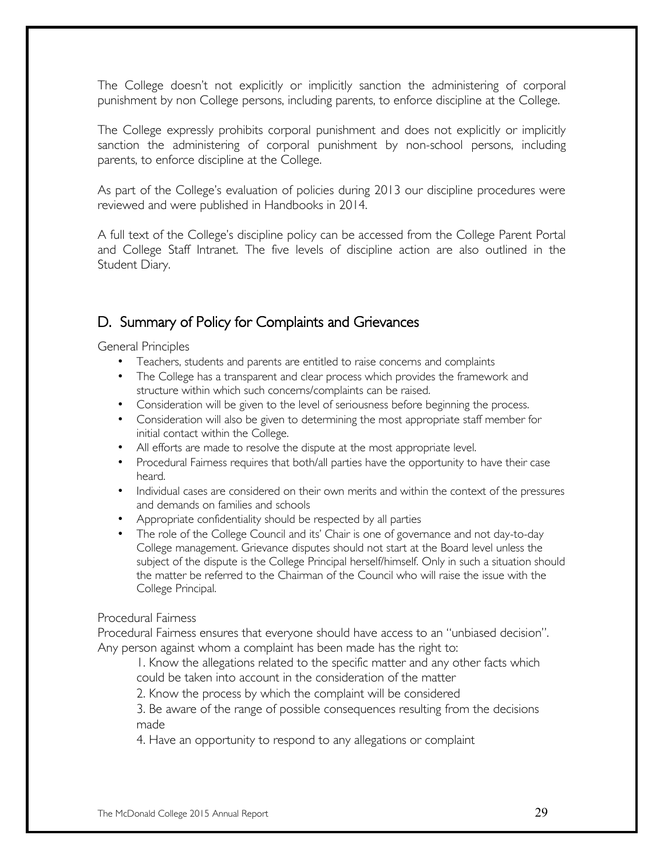The College doesn't not explicitly or implicitly sanction the administering of corporal punishment by non College persons, including parents, to enforce discipline at the College.

The College expressly prohibits corporal punishment and does not explicitly or implicitly sanction the administering of corporal punishment by non-school persons, including parents, to enforce discipline at the College.

As part of the College's evaluation of policies during 2013 our discipline procedures were reviewed and were published in Handbooks in 2014.

A full text of the College's discipline policy can be accessed from the College Parent Portal and College Staff Intranet. The five levels of discipline action are also outlined in the Student Diary.

#### D. Summary of Policy for Complaints and Grievances

General Principles

- Teachers, students and parents are entitled to raise concerns and complaints
- The College has a transparent and clear process which provides the framework and structure within which such concerns/complaints can be raised.
- Consideration will be given to the level of seriousness before beginning the process.
- Consideration will also be given to determining the most appropriate staff member for initial contact within the College.
- All efforts are made to resolve the dispute at the most appropriate level.
- Procedural Fairness requires that both/all parties have the opportunity to have their case heard.
- Individual cases are considered on their own merits and within the context of the pressures and demands on families and schools
- Appropriate confidentiality should be respected by all parties
- The role of the College Council and its' Chair is one of governance and not day-to-day College management. Grievance disputes should not start at the Board level unless the subject of the dispute is the College Principal herself/himself. Only in such a situation should the matter be referred to the Chairman of the Council who will raise the issue with the College Principal.

#### Procedural Fairness

Procedural Fairness ensures that everyone should have access to an "unbiased decision". Any person against whom a complaint has been made has the right to:

1. Know the allegations related to the specific matter and any other facts which could be taken into account in the consideration of the matter

2. Know the process by which the complaint will be considered

3. Be aware of the range of possible consequences resulting from the decisions made

4. Have an opportunity to respond to any allegations or complaint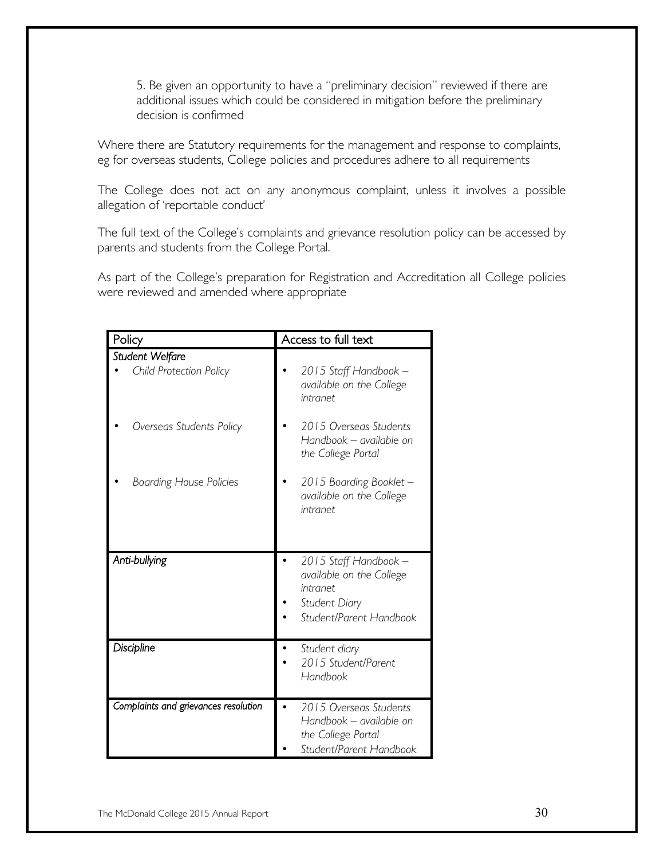5. Be given an opportunity to have a "preliminary decision" reviewed if there are additional issues which could be considered in mitigation before the preliminary decision is confirmed

Where there are Statutory requirements for the management and response to complaints, eg for overseas students, College policies and procedures adhere to all requirements

The College does not act on any anonymous complaint, unless it involves a possible allegation of 'reportable conduct'

The full text of the College's complaints and grievance resolution policy can be accessed by parents and students from the College Portal.

As part of the College's preparation for Registration and Accreditation all College policies were reviewed and amended where appropriate

| Policy                                     | Access to full text                                                                                       |
|--------------------------------------------|-----------------------------------------------------------------------------------------------------------|
| Student Welfare<br>Child Protection Policy | 2015 Staff Handbook -<br>available on the College<br>intranet                                             |
| Overseas Students Policy                   | 2015 Overseas Students<br>Handbook - available on<br>the College Portal                                   |
| <b>Boarding House Policies</b>             | 2015 Boarding Booklet -<br>available on the College<br>intranet                                           |
| Anti-bullying                              | 2015 Staff Handbook -<br>available on the College<br>intranet<br>Student Diary<br>Student/Parent Handbook |
| Discipline                                 | Student diary<br>2015 Student/Parent<br>Handbook                                                          |
| Complaints and grievances resolution       | 2015 Overseas Students<br>Handbook - available on<br>the College Portal<br>Student/Parent Handbook        |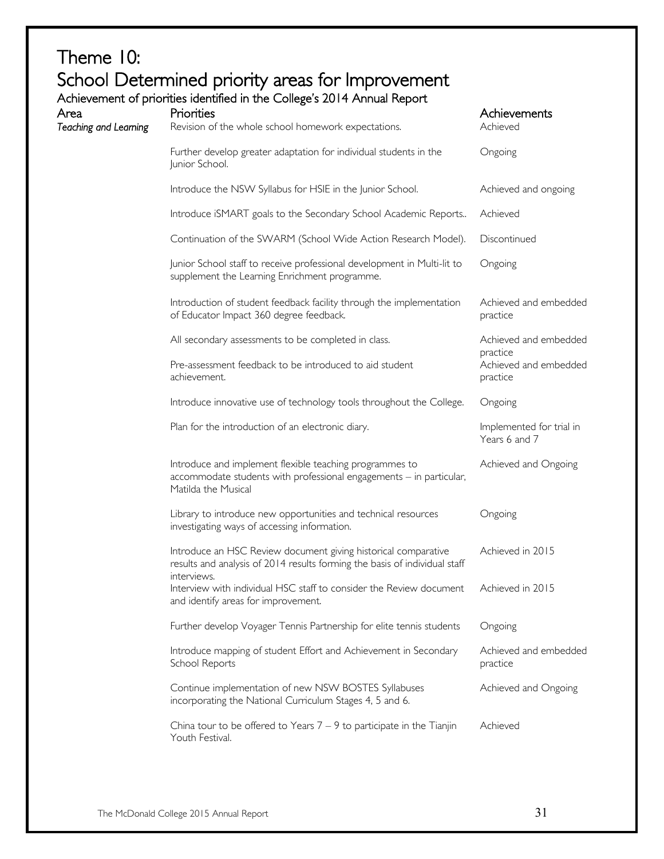## Theme 10: School Determined priority areas for Improvement<br>Achievement of priorities identified in the College's 2014 Annual Report

| Area<br>Teaching and Learning | Achievement of priorities identified in the College's 2014 Annual Report<br>Priorities<br>Revision of the whole school homework expectations.         | Achievements<br>Achieved                      |
|-------------------------------|-------------------------------------------------------------------------------------------------------------------------------------------------------|-----------------------------------------------|
|                               | Further develop greater adaptation for individual students in the<br>Junior School.                                                                   | Ongoing                                       |
|                               | Introduce the NSW Syllabus for HSIE in the Junior School.                                                                                             | Achieved and ongoing                          |
|                               | Introduce iSMART goals to the Secondary School Academic Reports                                                                                       | Achieved                                      |
|                               | Continuation of the SWARM (School Wide Action Research Model).                                                                                        | Discontinued                                  |
|                               | Junior School staff to receive professional development in Multi-lit to<br>supplement the Learning Enrichment programme.                              | Ongoing                                       |
|                               | Introduction of student feedback facility through the implementation<br>of Educator Impact 360 degree feedback.                                       | Achieved and embedded<br>practice             |
|                               | All secondary assessments to be completed in class.                                                                                                   | Achieved and embedded                         |
|                               | Pre-assessment feedback to be introduced to aid student<br>achievement.                                                                               | practice<br>Achieved and embedded<br>practice |
|                               | Introduce innovative use of technology tools throughout the College.                                                                                  | Ongoing                                       |
|                               | Plan for the introduction of an electronic diary.                                                                                                     | Implemented for trial in<br>Years 6 and 7     |
|                               | Introduce and implement flexible teaching programmes to<br>accommodate students with professional engagements - in particular,<br>Matilda the Musical | Achieved and Ongoing                          |
|                               | Library to introduce new opportunities and technical resources<br>investigating ways of accessing information.                                        | Ongoing                                       |
|                               | Introduce an HSC Review document giving historical comparative<br>results and analysis of 2014 results forming the basis of individual staff          | Achieved in 2015                              |
|                               | interviews.<br>Interview with individual HSC staff to consider the Review document<br>and identify areas for improvement.                             | Achieved in 2015                              |
|                               | Further develop Voyager Tennis Partnership for elite tennis students                                                                                  | Ongoing                                       |
|                               | Introduce mapping of student Effort and Achievement in Secondary<br>School Reports                                                                    | Achieved and embedded<br>practice             |
|                               | Continue implementation of new NSW BOSTES Syllabuses<br>incorporating the National Curriculum Stages 4, 5 and 6.                                      | Achieved and Ongoing                          |
|                               | China tour to be offered to Years $7 - 9$ to participate in the Tianjin<br>Youth Festival.                                                            | Achieved                                      |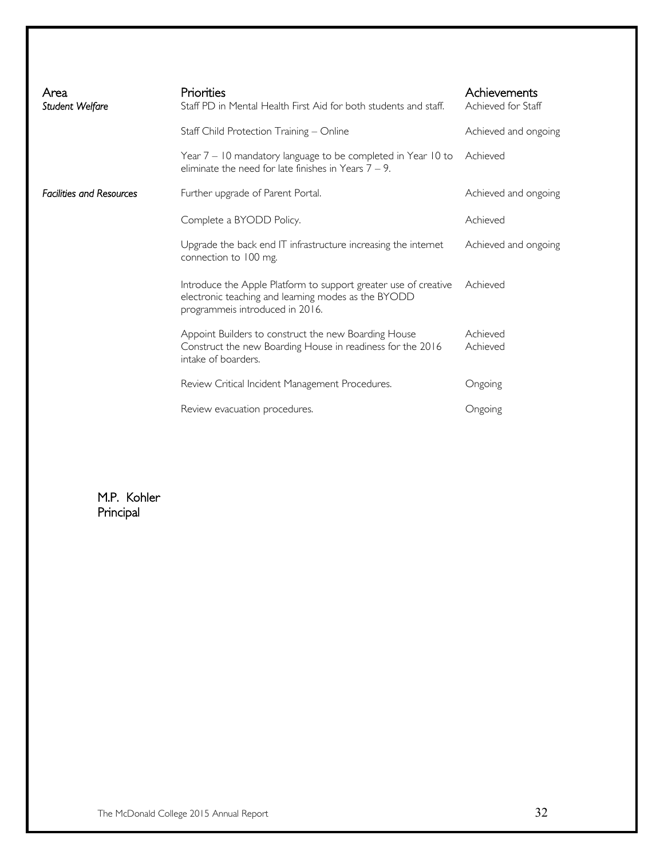| Area<br>Student Welfare         | Priorities<br>Staff PD in Mental Health First Aid for both students and staff.                                                                            | Achievements<br>Achieved for Staff |
|---------------------------------|-----------------------------------------------------------------------------------------------------------------------------------------------------------|------------------------------------|
|                                 | Staff Child Protection Training - Online                                                                                                                  | Achieved and ongoing               |
|                                 | Year 7 – 10 mandatory language to be completed in Year 10 to<br>eliminate the need for late finishes in Years $7 - 9$ .                                   | Achieved                           |
| <b>Facilities and Resources</b> | Further upgrade of Parent Portal.                                                                                                                         | Achieved and ongoing               |
|                                 | Complete a BYODD Policy.                                                                                                                                  | Achieved                           |
|                                 | Upgrade the back end IT infrastructure increasing the internet<br>connection to 100 mg.                                                                   | Achieved and ongoing               |
|                                 | Introduce the Apple Platform to support greater use of creative<br>electronic teaching and learning modes as the BYODD<br>programmeis introduced in 2016. | Achieved                           |
|                                 | Appoint Builders to construct the new Boarding House<br>Construct the new Boarding House in readiness for the 2016<br>intake of boarders.                 | Achieved<br>Achieved               |
|                                 | Review Critical Incident Management Procedures.                                                                                                           | Ongoing                            |
|                                 | Review evacuation procedures.                                                                                                                             | Ongoing                            |

M.P. Kohler Principal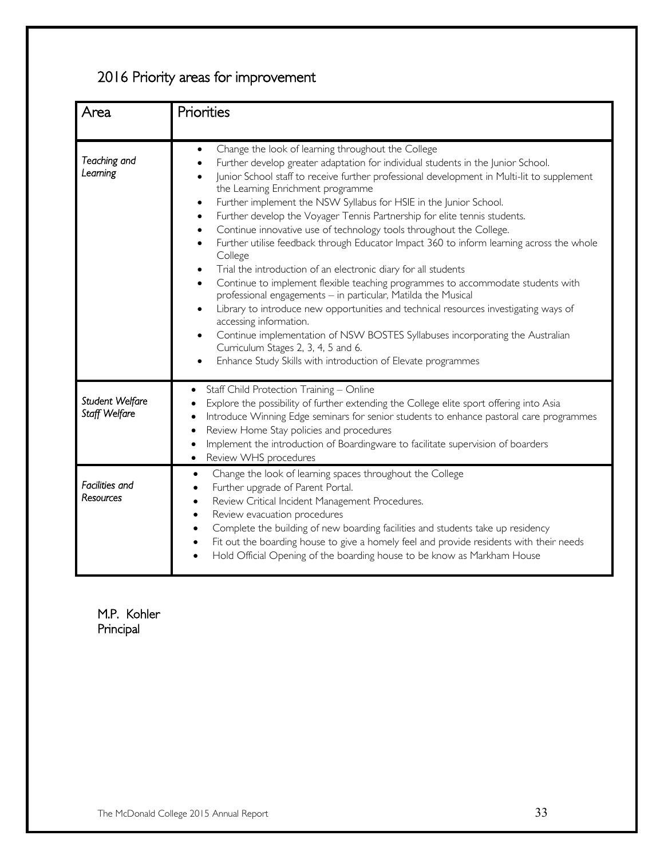## 2016 Priority areas for improvement

| Area                             | Priorities                                                                                                                                                                                                                                                                                                                                                                                                                                                                                                                                                                                                                                                                                                                                                                                                                                                                                                                                                                                                                                                                                                                                                                                                                                                     |
|----------------------------------|----------------------------------------------------------------------------------------------------------------------------------------------------------------------------------------------------------------------------------------------------------------------------------------------------------------------------------------------------------------------------------------------------------------------------------------------------------------------------------------------------------------------------------------------------------------------------------------------------------------------------------------------------------------------------------------------------------------------------------------------------------------------------------------------------------------------------------------------------------------------------------------------------------------------------------------------------------------------------------------------------------------------------------------------------------------------------------------------------------------------------------------------------------------------------------------------------------------------------------------------------------------|
| Teaching and<br>Leaming          | Change the look of learning throughout the College<br>$\bullet$<br>Further develop greater adaptation for individual students in the Junior School.<br>$\bullet$<br>Junior School staff to receive further professional development in Multi-lit to supplement<br>the Learning Enrichment programme<br>Further implement the NSW Syllabus for HSIE in the Junior School.<br>$\bullet$<br>Further develop the Voyager Tennis Partnership for elite tennis students.<br>$\bullet$<br>Continue innovative use of technology tools throughout the College.<br>$\bullet$<br>Further utilise feedback through Educator Impact 360 to inform learning across the whole<br>$\bullet$<br>College<br>Trial the introduction of an electronic diary for all students<br>$\bullet$<br>Continue to implement flexible teaching programmes to accommodate students with<br>$\bullet$<br>professional engagements - in particular, Matilda the Musical<br>Library to introduce new opportunities and technical resources investigating ways of<br>accessing information.<br>Continue implementation of NSW BOSTES Syllabuses incorporating the Australian<br>$\bullet$<br>Curriculum Stages 2, 3, 4, 5 and 6.<br>Enhance Study Skills with introduction of Elevate programmes |
| Student Welfare<br>Staff Welfare | Staff Child Protection Training - Online<br>Explore the possibility of further extending the College elite sport offering into Asia<br>Introduce Winning Edge seminars for senior students to enhance pastoral care programmes<br>Review Home Stay policies and procedures<br>$\bullet$<br>Implement the introduction of Boardingware to facilitate supervision of boarders<br>$\bullet$<br>Review WHS procedures<br>$\bullet$                                                                                                                                                                                                                                                                                                                                                                                                                                                                                                                                                                                                                                                                                                                                                                                                                                 |
| Facilities and<br>Resources      | Change the look of learning spaces throughout the College<br>$\bullet$<br>Further upgrade of Parent Portal.<br>Review Critical Incident Management Procedures.<br>Review evacuation procedures<br>Complete the building of new boarding facilities and students take up residency<br>Fit out the boarding house to give a homely feel and provide residents with their needs<br>Hold Official Opening of the boarding house to be know as Markham House                                                                                                                                                                                                                                                                                                                                                                                                                                                                                                                                                                                                                                                                                                                                                                                                        |

M.P. Kohler Principal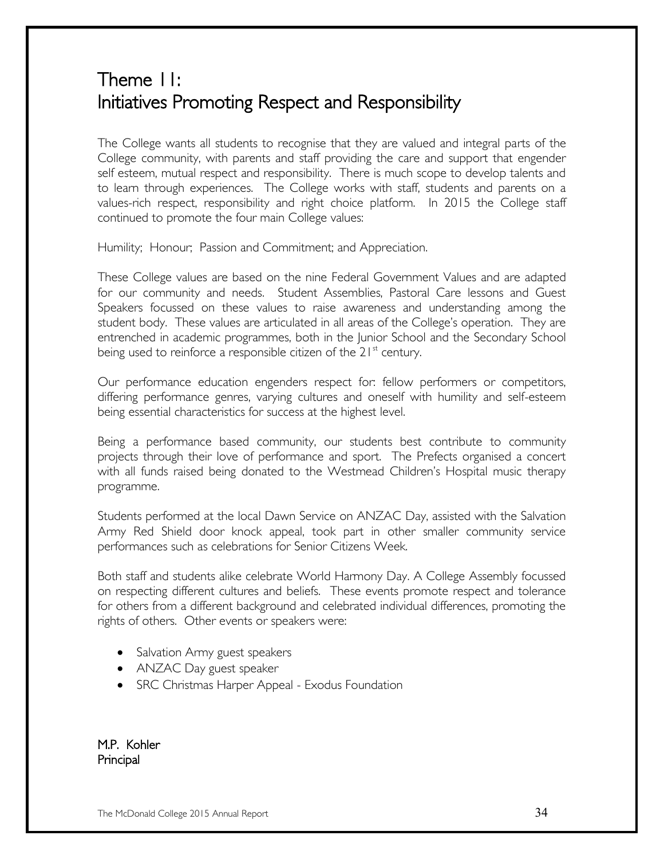## Theme 11: Initiatives Promoting Respect and Responsibility

The College wants all students to recognise that they are valued and integral parts of the College community, with parents and staff providing the care and support that engender self esteem, mutual respect and responsibility. There is much scope to develop talents and to learn through experiences. The College works with staff, students and parents on a values-rich respect, responsibility and right choice platform. In 2015 the College staff continued to promote the four main College values:

Humility; Honour; Passion and Commitment; and Appreciation.

These College values are based on the nine Federal Government Values and are adapted for our community and needs. Student Assemblies, Pastoral Care lessons and Guest Speakers focussed on these values to raise awareness and understanding among the student body. These values are articulated in all areas of the College's operation. They are entrenched in academic programmes, both in the Junior School and the Secondary School being used to reinforce a responsible citizen of the  $21<sup>st</sup>$  century.

Our performance education engenders respect for: fellow performers or competitors, differing performance genres, varying cultures and oneself with humility and self-esteem being essential characteristics for success at the highest level.

Being a performance based community, our students best contribute to community projects through their love of performance and sport. The Prefects organised a concert with all funds raised being donated to the Westmead Children's Hospital music therapy programme.

Students performed at the local Dawn Service on ANZAC Day, assisted with the Salvation Army Red Shield door knock appeal, took part in other smaller community service performances such as celebrations for Senior Citizens Week.

Both staff and students alike celebrate World Harmony Day. A College Assembly focussed on respecting different cultures and beliefs. These events promote respect and tolerance for others from a different background and celebrated individual differences, promoting the rights of others. Other events or speakers were:

- Salvation Army guest speakers
- ANZAC Day guest speaker
- SRC Christmas Harper Appeal Exodus Foundation

M.P. Kohler Principal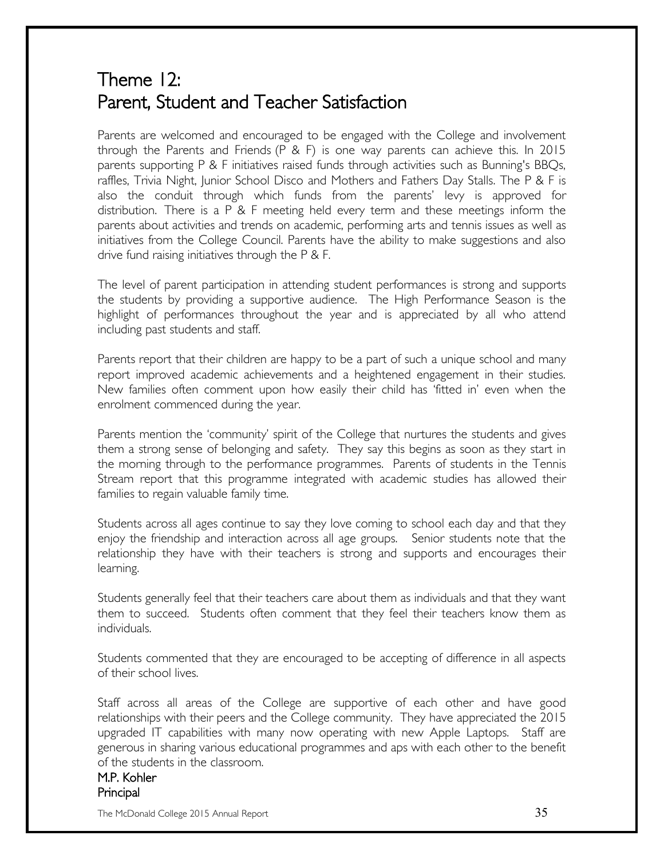## Theme 12: Parent, Student and Teacher Satisfaction

Parents are welcomed and encouraged to be engaged with the College and involvement through the Parents and Friends (P & F) is one way parents can achieve this. In 2015 parents supporting P & F initiatives raised funds through activities such as Bunning's BBQs, raffles, Trivia Night, Junior School Disco and Mothers and Fathers Day Stalls. The P & F is also the conduit through which funds from the parents' levy is approved for distribution. There is a P & F meeting held every term and these meetings inform the parents about activities and trends on academic, performing arts and tennis issues as well as initiatives from the College Council. Parents have the ability to make suggestions and also drive fund raising initiatives through the P & F.

The level of parent participation in attending student performances is strong and supports the students by providing a supportive audience. The High Performance Season is the highlight of performances throughout the year and is appreciated by all who attend including past students and staff.

Parents report that their children are happy to be a part of such a unique school and many report improved academic achievements and a heightened engagement in their studies. New families often comment upon how easily their child has 'fitted in' even when the enrolment commenced during the year.

Parents mention the 'community' spirit of the College that nurtures the students and gives them a strong sense of belonging and safety. They say this begins as soon as they start in the morning through to the performance programmes. Parents of students in the Tennis Stream report that this programme integrated with academic studies has allowed their families to regain valuable family time.

Students across all ages continue to say they love coming to school each day and that they enjoy the friendship and interaction across all age groups. Senior students note that the relationship they have with their teachers is strong and supports and encourages their learning.

Students generally feel that their teachers care about them as individuals and that they want them to succeed. Students often comment that they feel their teachers know them as individuals.

Students commented that they are encouraged to be accepting of difference in all aspects of their school lives.

Staff across all areas of the College are supportive of each other and have good relationships with their peers and the College community. They have appreciated the 2015 upgraded IT capabilities with many now operating with new Apple Laptops. Staff are generous in sharing various educational programmes and aps with each other to the benefit of the students in the classroom.

#### M.P. Kohler Principal

The McDonald College 2015 Annual Report  $35\,$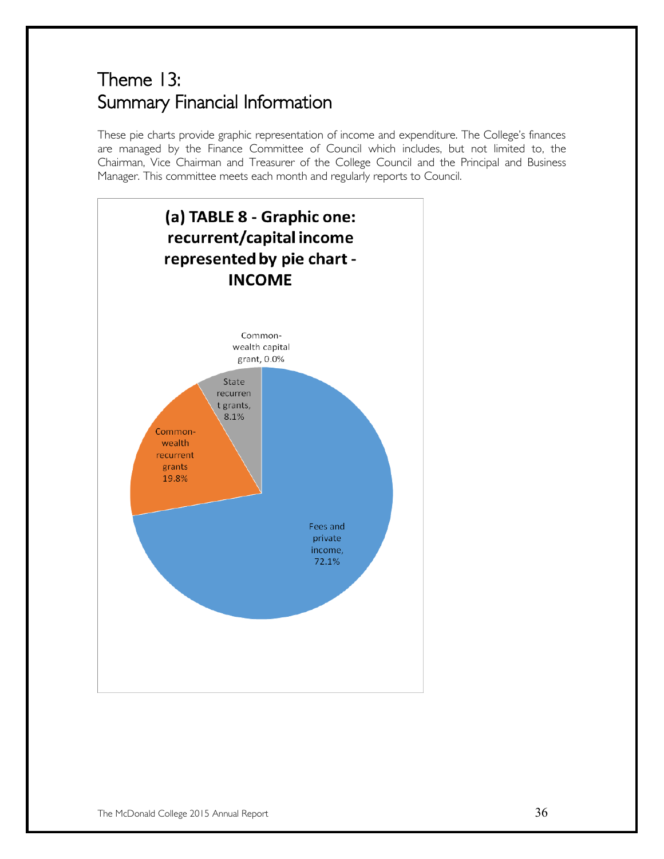## Theme 13: Summary Financial Information

These pie charts provide graphic representation of income and expenditure. The College's finances are managed by the Finance Committee of Council which includes, but not limited to, the Chairman, Vice Chairman and Treasurer of the College Council and the Principal and Business Manager. This committee meets each month and regularly reports to Council.

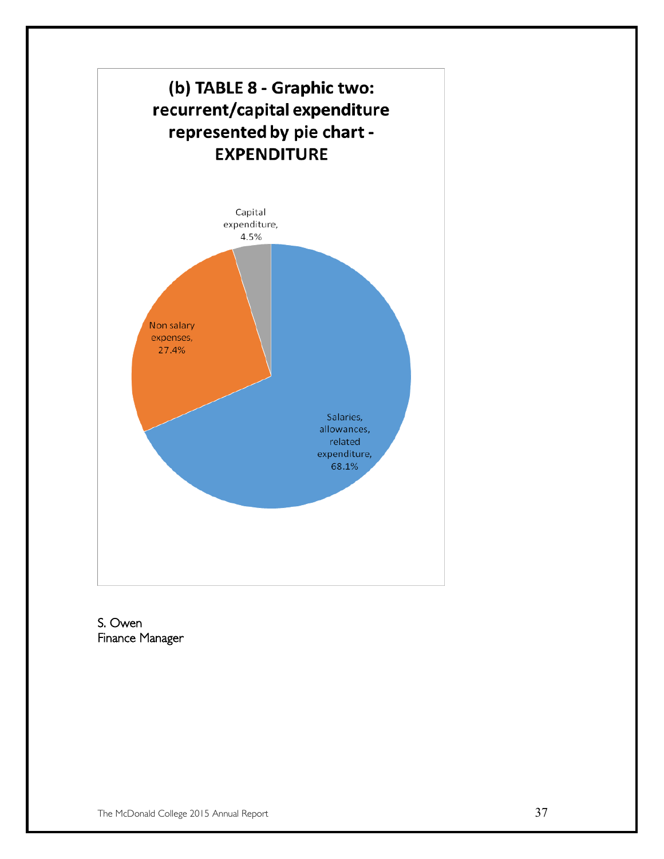

S. Owen Finance Manager